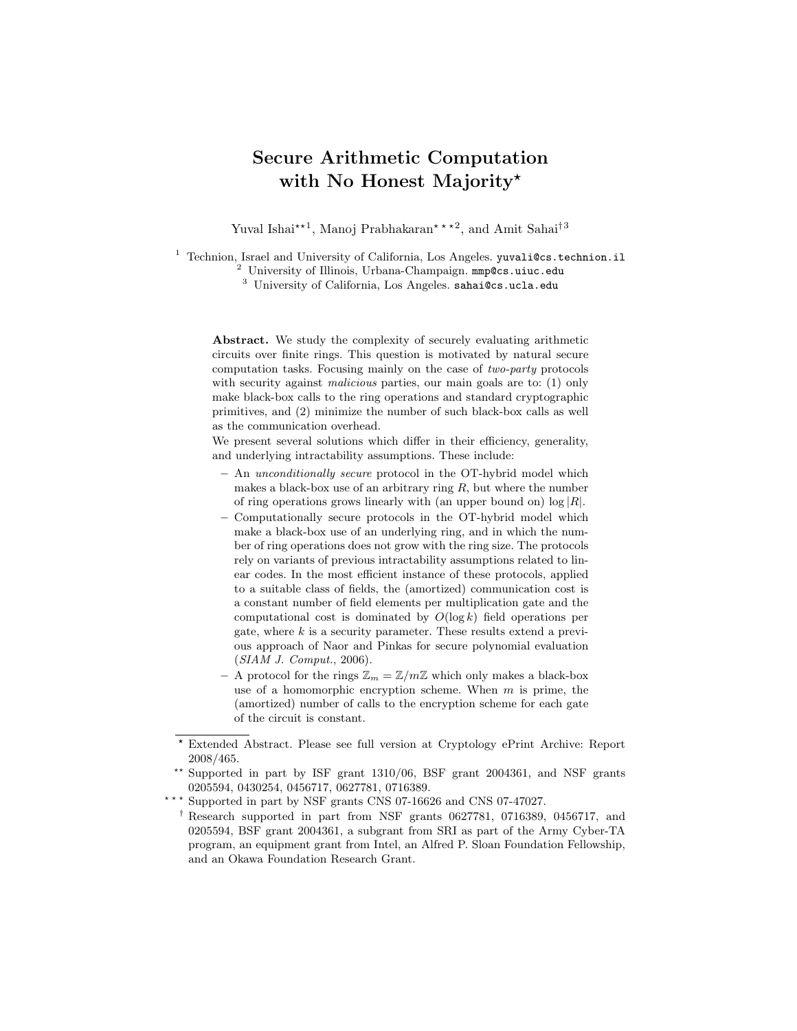# Secure Arithmetic Computation with No Honest Majority<sup>\*</sup>

Yuval Ishai<sup>\*\*1</sup>, Manoj Prabhakaran<sup>\*\*\*2</sup>, and Amit Sahai<sup>†3</sup>

<sup>1</sup> Technion, Israel and University of California, Los Angeles. yuvali@cs.technion.il

<sup>2</sup> University of Illinois, Urbana-Champaign. mmp@cs.uiuc.edu <sup>3</sup> University of California, Los Angeles. sahai@cs.ucla.edu

Abstract. We study the complexity of securely evaluating arithmetic circuits over finite rings. This question is motivated by natural secure computation tasks. Focusing mainly on the case of two-party protocols with security against *malicious* parties, our main goals are to: (1) only make black-box calls to the ring operations and standard cryptographic primitives, and (2) minimize the number of such black-box calls as well as the communication overhead.

We present several solutions which differ in their efficiency, generality, and underlying intractability assumptions. These include:

- An unconditionally secure protocol in the OT-hybrid model which makes a black-box use of an arbitrary ring  $R$ , but where the number of ring operations grows linearly with (an upper bound on)  $\log |R|$ .
- Computationally secure protocols in the OT-hybrid model which make a black-box use of an underlying ring, and in which the number of ring operations does not grow with the ring size. The protocols rely on variants of previous intractability assumptions related to linear codes. In the most efficient instance of these protocols, applied to a suitable class of fields, the (amortized) communication cost is a constant number of field elements per multiplication gate and the computational cost is dominated by  $O(\log k)$  field operations per gate, where  $k$  is a security parameter. These results extend a previous approach of Naor and Pinkas for secure polynomial evaluation (SIAM J. Comput., 2006).
- A protocol for the rings  $\mathbb{Z}_m = \mathbb{Z}/m\mathbb{Z}$  which only makes a black-box use of a homomorphic encryption scheme. When  $m$  is prime, the (amortized) number of calls to the encryption scheme for each gate of the circuit is constant.

<sup>?</sup> Extended Abstract. Please see full version at Cryptology ePrint Archive: Report 2008/465.

<sup>\*\*</sup> Supported in part by ISF grant  $1310/06$ , BSF grant  $2004361$ , and NSF grants 0205594, 0430254, 0456717, 0627781, 0716389.

 $^{\star\;\star\;\star}$  Supported in part by NSF grants CNS 07-16626 and CNS 07-47027.

<sup>†</sup> Research supported in part from NSF grants 0627781, 0716389, 0456717, and 0205594, BSF grant 2004361, a subgrant from SRI as part of the Army Cyber-TA program, an equipment grant from Intel, an Alfred P. Sloan Foundation Fellowship, and an Okawa Foundation Research Grant.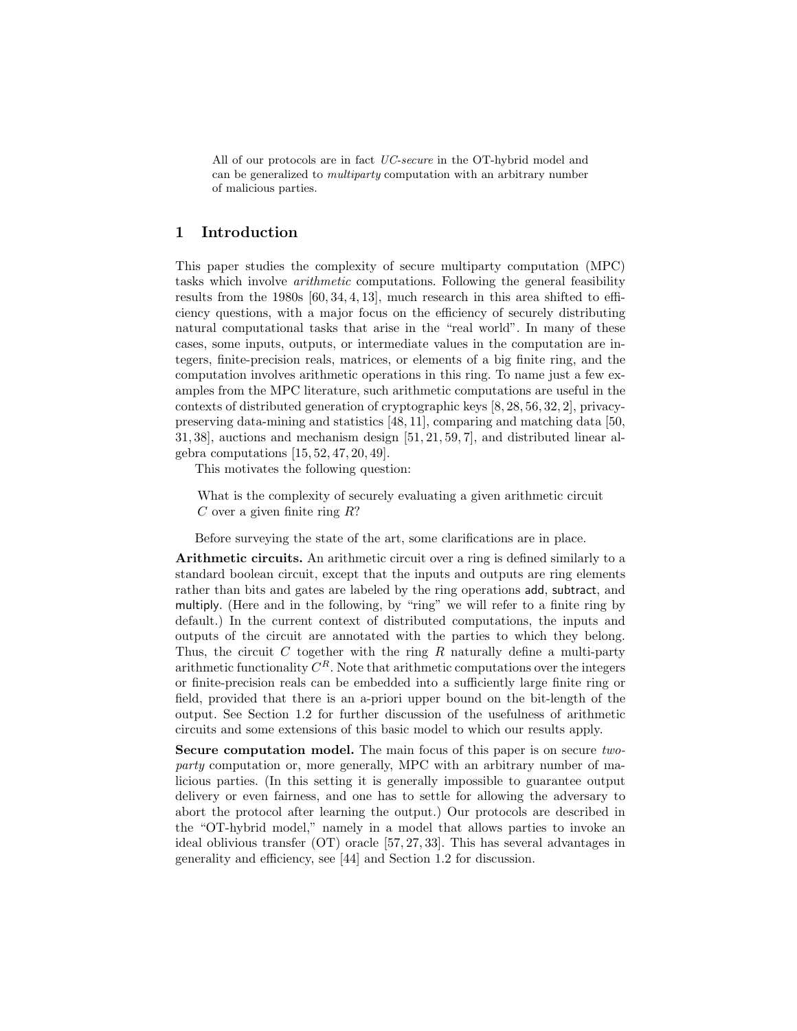All of our protocols are in fact UC-secure in the OT-hybrid model and can be generalized to multiparty computation with an arbitrary number of malicious parties.

## 1 Introduction

This paper studies the complexity of secure multiparty computation (MPC) tasks which involve arithmetic computations. Following the general feasibility results from the 1980s [60, 34, 4, 13], much research in this area shifted to efficiency questions, with a major focus on the efficiency of securely distributing natural computational tasks that arise in the "real world". In many of these cases, some inputs, outputs, or intermediate values in the computation are integers, finite-precision reals, matrices, or elements of a big finite ring, and the computation involves arithmetic operations in this ring. To name just a few examples from the MPC literature, such arithmetic computations are useful in the contexts of distributed generation of cryptographic keys [8, 28, 56, 32, 2], privacypreserving data-mining and statistics [48, 11], comparing and matching data [50, 31, 38], auctions and mechanism design [51, 21, 59, 7], and distributed linear algebra computations [15, 52, 47, 20, 49].

This motivates the following question:

What is the complexity of securely evaluating a given arithmetic circuit C over a given finite ring  $R$ ?

Before surveying the state of the art, some clarifications are in place.

Arithmetic circuits. An arithmetic circuit over a ring is defined similarly to a standard boolean circuit, except that the inputs and outputs are ring elements rather than bits and gates are labeled by the ring operations add, subtract, and multiply. (Here and in the following, by "ring" we will refer to a finite ring by default.) In the current context of distributed computations, the inputs and outputs of the circuit are annotated with the parties to which they belong. Thus, the circuit  $C$  together with the ring  $R$  naturally define a multi-party arithmetic functionality  $C^R$ . Note that arithmetic computations over the integers or finite-precision reals can be embedded into a sufficiently large finite ring or field, provided that there is an a-priori upper bound on the bit-length of the output. See Section 1.2 for further discussion of the usefulness of arithmetic circuits and some extensions of this basic model to which our results apply.

Secure computation model. The main focus of this paper is on secure twoparty computation or, more generally, MPC with an arbitrary number of malicious parties. (In this setting it is generally impossible to guarantee output delivery or even fairness, and one has to settle for allowing the adversary to abort the protocol after learning the output.) Our protocols are described in the "OT-hybrid model," namely in a model that allows parties to invoke an ideal oblivious transfer (OT) oracle [57, 27, 33]. This has several advantages in generality and efficiency, see [44] and Section 1.2 for discussion.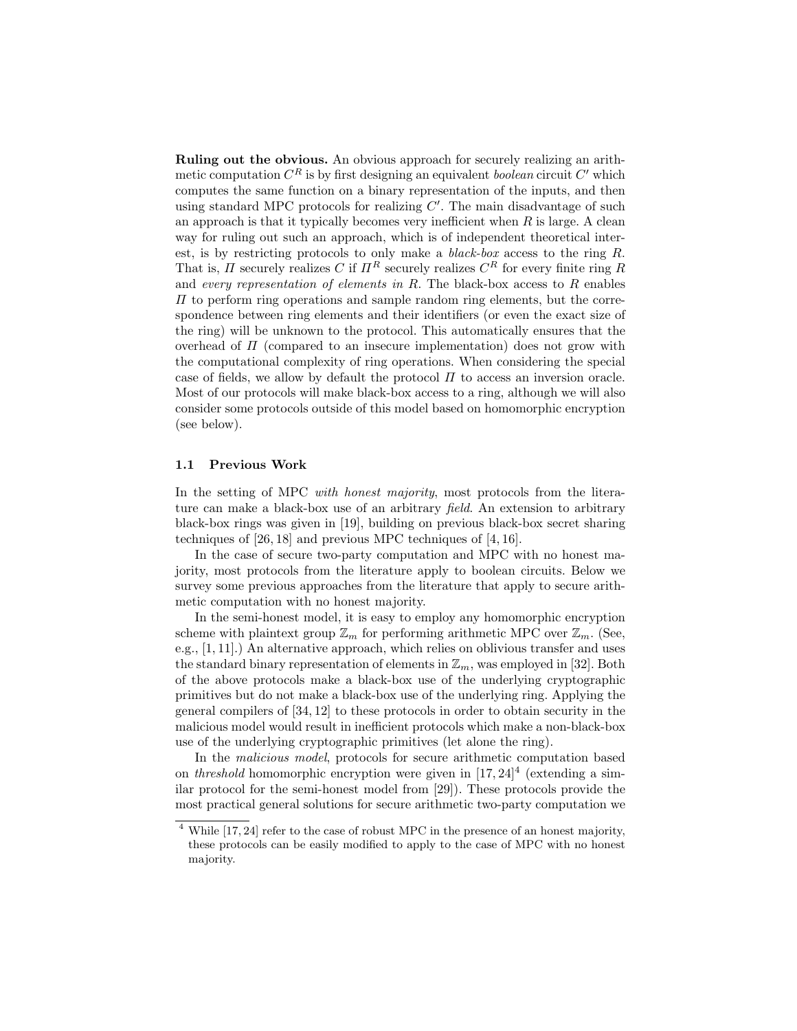Ruling out the obvious. An obvious approach for securely realizing an arithmetic computation  $C^R$  is by first designing an equivalent *boolean* circuit  $C'$  which computes the same function on a binary representation of the inputs, and then using standard MPC protocols for realizing  $C'$ . The main disadvantage of such an approach is that it typically becomes very inefficient when  $R$  is large. A clean way for ruling out such an approach, which is of independent theoretical interest, is by restricting protocols to only make a *black-box* access to the ring  $R$ . That is,  $\Pi$  securely realizes C if  $\Pi^R$  securely realizes  $C^R$  for every finite ring R and every representation of elements in  $R$ . The black-box access to  $R$  enables  $\Pi$  to perform ring operations and sample random ring elements, but the correspondence between ring elements and their identifiers (or even the exact size of the ring) will be unknown to the protocol. This automatically ensures that the overhead of  $\Pi$  (compared to an insecure implementation) does not grow with the computational complexity of ring operations. When considering the special case of fields, we allow by default the protocol  $\Pi$  to access an inversion oracle. Most of our protocols will make black-box access to a ring, although we will also consider some protocols outside of this model based on homomorphic encryption (see below).

#### 1.1 Previous Work

In the setting of MPC with honest majority, most protocols from the literature can make a black-box use of an arbitrary *field*. An extension to arbitrary black-box rings was given in [19], building on previous black-box secret sharing techniques of [26, 18] and previous MPC techniques of [4, 16].

In the case of secure two-party computation and MPC with no honest majority, most protocols from the literature apply to boolean circuits. Below we survey some previous approaches from the literature that apply to secure arithmetic computation with no honest majority.

In the semi-honest model, it is easy to employ any homomorphic encryption scheme with plaintext group  $\mathbb{Z}_m$  for performing arithmetic MPC over  $\mathbb{Z}_m$ . (See, e.g., [1, 11].) An alternative approach, which relies on oblivious transfer and uses the standard binary representation of elements in  $\mathbb{Z}_m$ , was employed in [32]. Both of the above protocols make a black-box use of the underlying cryptographic primitives but do not make a black-box use of the underlying ring. Applying the general compilers of [34, 12] to these protocols in order to obtain security in the malicious model would result in inefficient protocols which make a non-black-box use of the underlying cryptographic primitives (let alone the ring).

In the malicious model, protocols for secure arithmetic computation based on *threshold* homomorphic encryption were given in  $[17, 24]$ <sup>4</sup> (extending a similar protocol for the semi-honest model from [29]). These protocols provide the most practical general solutions for secure arithmetic two-party computation we

<sup>4</sup> While [17, 24] refer to the case of robust MPC in the presence of an honest majority, these protocols can be easily modified to apply to the case of MPC with no honest majority.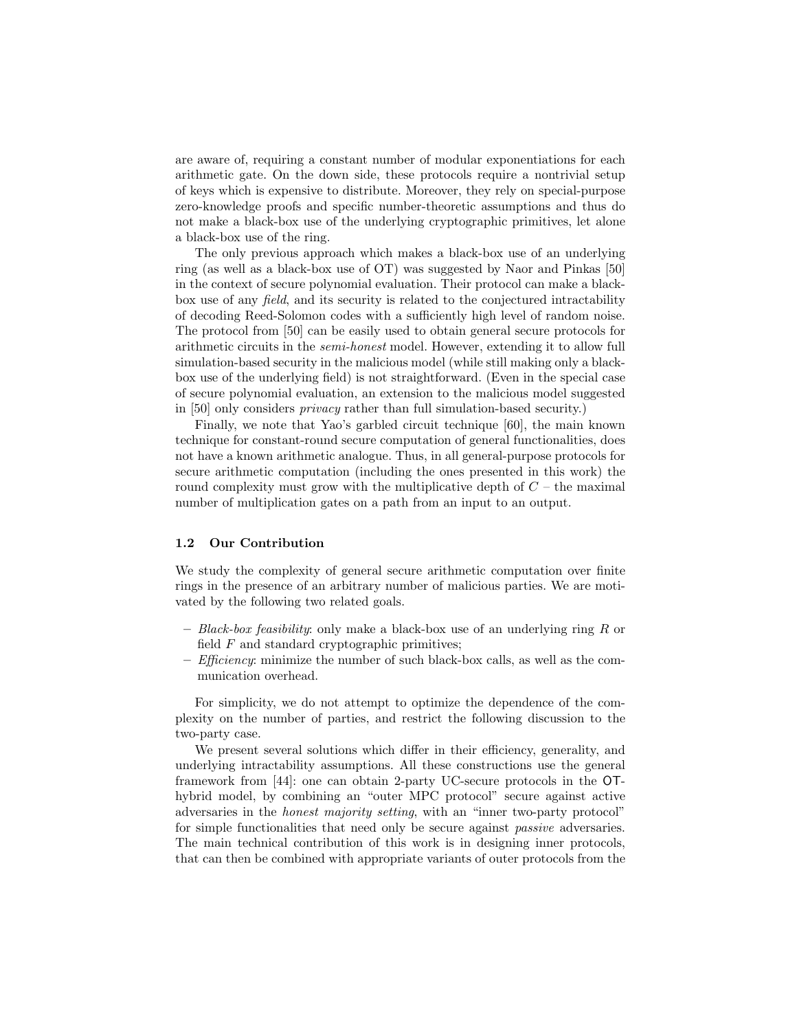are aware of, requiring a constant number of modular exponentiations for each arithmetic gate. On the down side, these protocols require a nontrivial setup of keys which is expensive to distribute. Moreover, they rely on special-purpose zero-knowledge proofs and specific number-theoretic assumptions and thus do not make a black-box use of the underlying cryptographic primitives, let alone a black-box use of the ring.

The only previous approach which makes a black-box use of an underlying ring (as well as a black-box use of OT) was suggested by Naor and Pinkas [50] in the context of secure polynomial evaluation. Their protocol can make a blackbox use of any field, and its security is related to the conjectured intractability of decoding Reed-Solomon codes with a sufficiently high level of random noise. The protocol from [50] can be easily used to obtain general secure protocols for arithmetic circuits in the semi-honest model. However, extending it to allow full simulation-based security in the malicious model (while still making only a blackbox use of the underlying field) is not straightforward. (Even in the special case of secure polynomial evaluation, an extension to the malicious model suggested in [50] only considers privacy rather than full simulation-based security.)

Finally, we note that Yao's garbled circuit technique [60], the main known technique for constant-round secure computation of general functionalities, does not have a known arithmetic analogue. Thus, in all general-purpose protocols for secure arithmetic computation (including the ones presented in this work) the round complexity must grow with the multiplicative depth of  $C$  – the maximal number of multiplication gates on a path from an input to an output.

## 1.2 Our Contribution

We study the complexity of general secure arithmetic computation over finite rings in the presence of an arbitrary number of malicious parties. We are motivated by the following two related goals.

- $Black-box$  *feasibility:* only make a black-box use of an underlying ring R or field  $F$  and standard cryptographic primitives;
- $-$  *Efficiency:* minimize the number of such black-box calls, as well as the communication overhead.

For simplicity, we do not attempt to optimize the dependence of the complexity on the number of parties, and restrict the following discussion to the two-party case.

We present several solutions which differ in their efficiency, generality, and underlying intractability assumptions. All these constructions use the general framework from [44]: one can obtain 2-party UC-secure protocols in the OThybrid model, by combining an "outer MPC protocol" secure against active adversaries in the honest majority setting, with an "inner two-party protocol" for simple functionalities that need only be secure against passive adversaries. The main technical contribution of this work is in designing inner protocols, that can then be combined with appropriate variants of outer protocols from the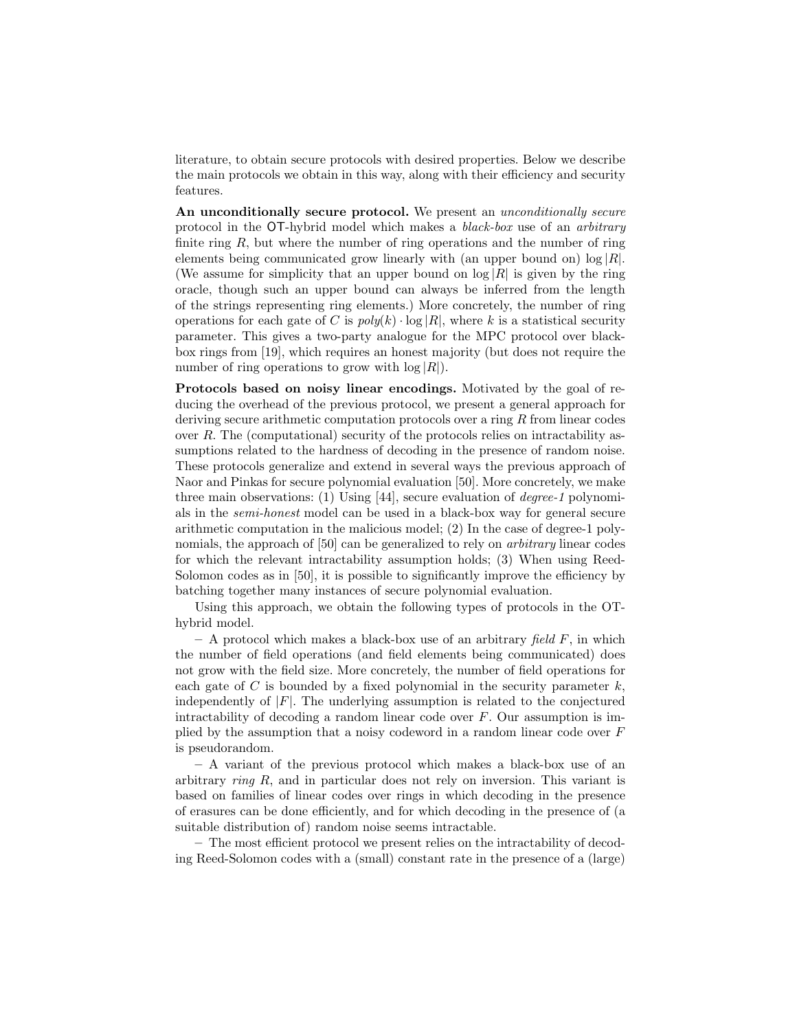literature, to obtain secure protocols with desired properties. Below we describe the main protocols we obtain in this way, along with their efficiency and security features.

An unconditionally secure protocol. We present an *unconditionally secure* protocol in the OT-hybrid model which makes a black-box use of an arbitrary finite ring  $R$ , but where the number of ring operations and the number of ring elements being communicated grow linearly with (an upper bound on)  $log |R|$ . (We assume for simplicity that an upper bound on  $log |R|$  is given by the ring oracle, though such an upper bound can always be inferred from the length of the strings representing ring elements.) More concretely, the number of ring operations for each gate of C is  $poly(k) \cdot \log |R|$ , where k is a statistical security parameter. This gives a two-party analogue for the MPC protocol over blackbox rings from [19], which requires an honest majority (but does not require the number of ring operations to grow with  $log |R|$ .

Protocols based on noisy linear encodings. Motivated by the goal of reducing the overhead of the previous protocol, we present a general approach for deriving secure arithmetic computation protocols over a ring  $R$  from linear codes over  $R$ . The (computational) security of the protocols relies on intractability assumptions related to the hardness of decoding in the presence of random noise. These protocols generalize and extend in several ways the previous approach of Naor and Pinkas for secure polynomial evaluation [50]. More concretely, we make three main observations: (1) Using [44], secure evaluation of *degree-1* polynomials in the semi-honest model can be used in a black-box way for general secure arithmetic computation in the malicious model; (2) In the case of degree-1 polynomials, the approach of [50] can be generalized to rely on arbitrary linear codes for which the relevant intractability assumption holds; (3) When using Reed-Solomon codes as in [50], it is possible to significantly improve the efficiency by batching together many instances of secure polynomial evaluation.

Using this approach, we obtain the following types of protocols in the OThybrid model.

 $-$  A protocol which makes a black-box use of an arbitrary field  $F$ , in which the number of field operations (and field elements being communicated) does not grow with the field size. More concretely, the number of field operations for each gate of  $C$  is bounded by a fixed polynomial in the security parameter  $k$ , independently of  $|F|$ . The underlying assumption is related to the conjectured intractability of decoding a random linear code over  $F$ . Our assumption is implied by the assumption that a noisy codeword in a random linear code over F is pseudorandom.

– A variant of the previous protocol which makes a black-box use of an arbitrary  $ring R$ , and in particular does not rely on inversion. This variant is based on families of linear codes over rings in which decoding in the presence of erasures can be done efficiently, and for which decoding in the presence of (a suitable distribution of) random noise seems intractable.

– The most efficient protocol we present relies on the intractability of decoding Reed-Solomon codes with a (small) constant rate in the presence of a (large)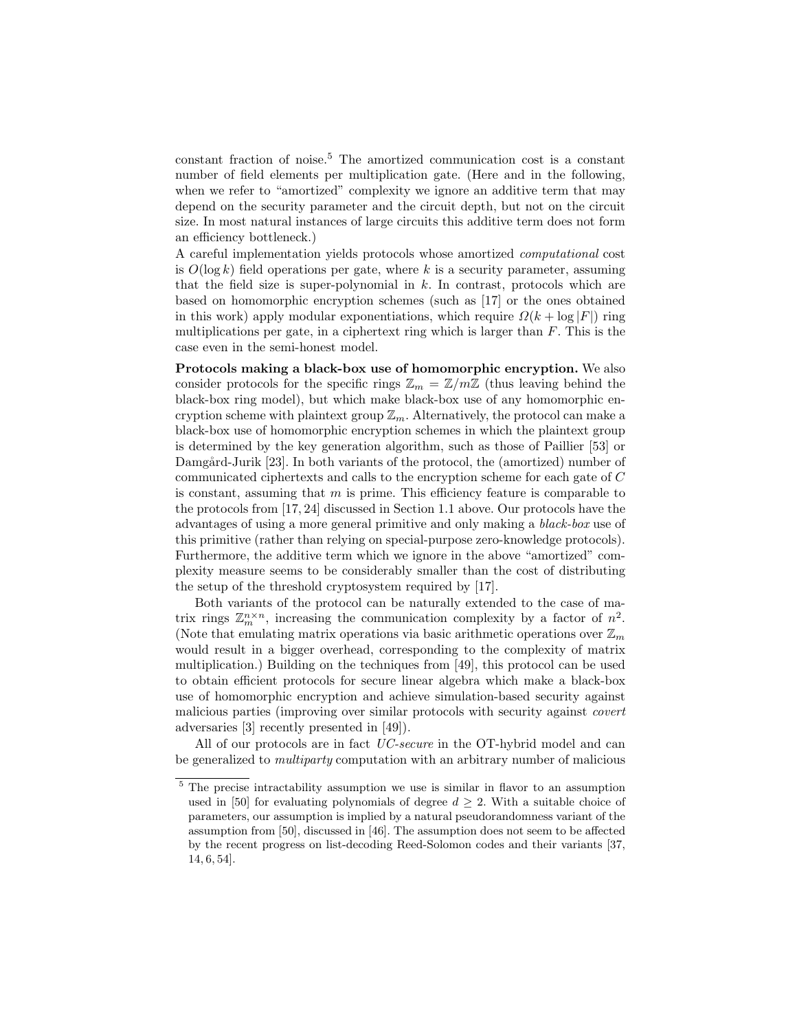constant fraction of noise.<sup>5</sup> The amortized communication cost is a constant number of field elements per multiplication gate. (Here and in the following, when we refer to "amortized" complexity we ignore an additive term that may depend on the security parameter and the circuit depth, but not on the circuit size. In most natural instances of large circuits this additive term does not form an efficiency bottleneck.)

A careful implementation yields protocols whose amortized computational cost is  $O(\log k)$  field operations per gate, where k is a security parameter, assuming that the field size is super-polynomial in  $k$ . In contrast, protocols which are based on homomorphic encryption schemes (such as [17] or the ones obtained in this work) apply modular exponentiations, which require  $\Omega(k + \log |F|)$  ring multiplications per gate, in a ciphertext ring which is larger than  $F$ . This is the case even in the semi-honest model.

Protocols making a black-box use of homomorphic encryption. We also consider protocols for the specific rings  $\mathbb{Z}_m = \mathbb{Z}/m\mathbb{Z}$  (thus leaving behind the black-box ring model), but which make black-box use of any homomorphic encryption scheme with plaintext group  $\mathbb{Z}_m$ . Alternatively, the protocol can make a black-box use of homomorphic encryption schemes in which the plaintext group is determined by the key generation algorithm, such as those of Paillier [53] or Damgård-Jurik [23]. In both variants of the protocol, the (amortized) number of communicated ciphertexts and calls to the encryption scheme for each gate of C is constant, assuming that  $m$  is prime. This efficiency feature is comparable to the protocols from [17, 24] discussed in Section 1.1 above. Our protocols have the advantages of using a more general primitive and only making a black-box use of this primitive (rather than relying on special-purpose zero-knowledge protocols). Furthermore, the additive term which we ignore in the above "amortized" complexity measure seems to be considerably smaller than the cost of distributing the setup of the threshold cryptosystem required by [17].

Both variants of the protocol can be naturally extended to the case of matrix rings  $\mathbb{Z}_m^{n \times n}$ , increasing the communication complexity by a factor of  $n^2$ . (Note that emulating matrix operations via basic arithmetic operations over  $\mathbb{Z}_m$ would result in a bigger overhead, corresponding to the complexity of matrix multiplication.) Building on the techniques from [49], this protocol can be used to obtain efficient protocols for secure linear algebra which make a black-box use of homomorphic encryption and achieve simulation-based security against malicious parties (improving over similar protocols with security against covert adversaries [3] recently presented in [49]).

All of our protocols are in fact UC-secure in the OT-hybrid model and can be generalized to multiparty computation with an arbitrary number of malicious

<sup>5</sup> The precise intractability assumption we use is similar in flavor to an assumption used in [50] for evaluating polynomials of degree  $d \geq 2$ . With a suitable choice of parameters, our assumption is implied by a natural pseudorandomness variant of the assumption from [50], discussed in [46]. The assumption does not seem to be affected by the recent progress on list-decoding Reed-Solomon codes and their variants [37, 14, 6, 54].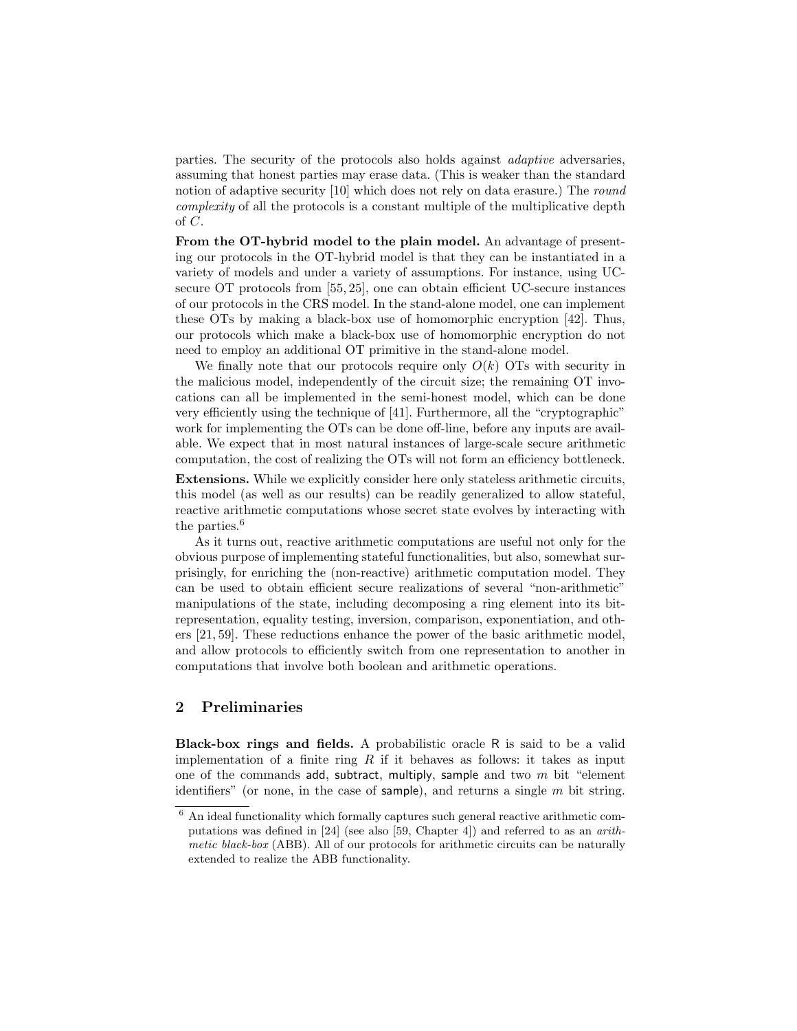parties. The security of the protocols also holds against adaptive adversaries, assuming that honest parties may erase data. (This is weaker than the standard notion of adaptive security [10] which does not rely on data erasure.) The round complexity of all the protocols is a constant multiple of the multiplicative depth of C.

From the OT-hybrid model to the plain model. An advantage of presenting our protocols in the OT-hybrid model is that they can be instantiated in a variety of models and under a variety of assumptions. For instance, using UCsecure OT protocols from [55, 25], one can obtain efficient UC-secure instances of our protocols in the CRS model. In the stand-alone model, one can implement these OTs by making a black-box use of homomorphic encryption [42]. Thus, our protocols which make a black-box use of homomorphic encryption do not need to employ an additional OT primitive in the stand-alone model.

We finally note that our protocols require only  $O(k)$  OTs with security in the malicious model, independently of the circuit size; the remaining OT invocations can all be implemented in the semi-honest model, which can be done very efficiently using the technique of [41]. Furthermore, all the "cryptographic" work for implementing the OTs can be done off-line, before any inputs are available. We expect that in most natural instances of large-scale secure arithmetic computation, the cost of realizing the OTs will not form an efficiency bottleneck.

Extensions. While we explicitly consider here only stateless arithmetic circuits, this model (as well as our results) can be readily generalized to allow stateful, reactive arithmetic computations whose secret state evolves by interacting with the parties.<sup>6</sup>

As it turns out, reactive arithmetic computations are useful not only for the obvious purpose of implementing stateful functionalities, but also, somewhat surprisingly, for enriching the (non-reactive) arithmetic computation model. They can be used to obtain efficient secure realizations of several "non-arithmetic" manipulations of the state, including decomposing a ring element into its bitrepresentation, equality testing, inversion, comparison, exponentiation, and others [21, 59]. These reductions enhance the power of the basic arithmetic model, and allow protocols to efficiently switch from one representation to another in computations that involve both boolean and arithmetic operations.

## 2 Preliminaries

Black-box rings and fields. A probabilistic oracle R is said to be a valid implementation of a finite ring  $R$  if it behaves as follows: it takes as input one of the commands add, subtract, multiply, sample and two  $m$  bit "element" identifiers" (or none, in the case of sample), and returns a single  $m$  bit string.

 $6$  An ideal functionality which formally captures such general reactive arithmetic computations was defined in [24] (see also [59, Chapter 4]) and referred to as an arithmetic black-box (ABB). All of our protocols for arithmetic circuits can be naturally extended to realize the ABB functionality.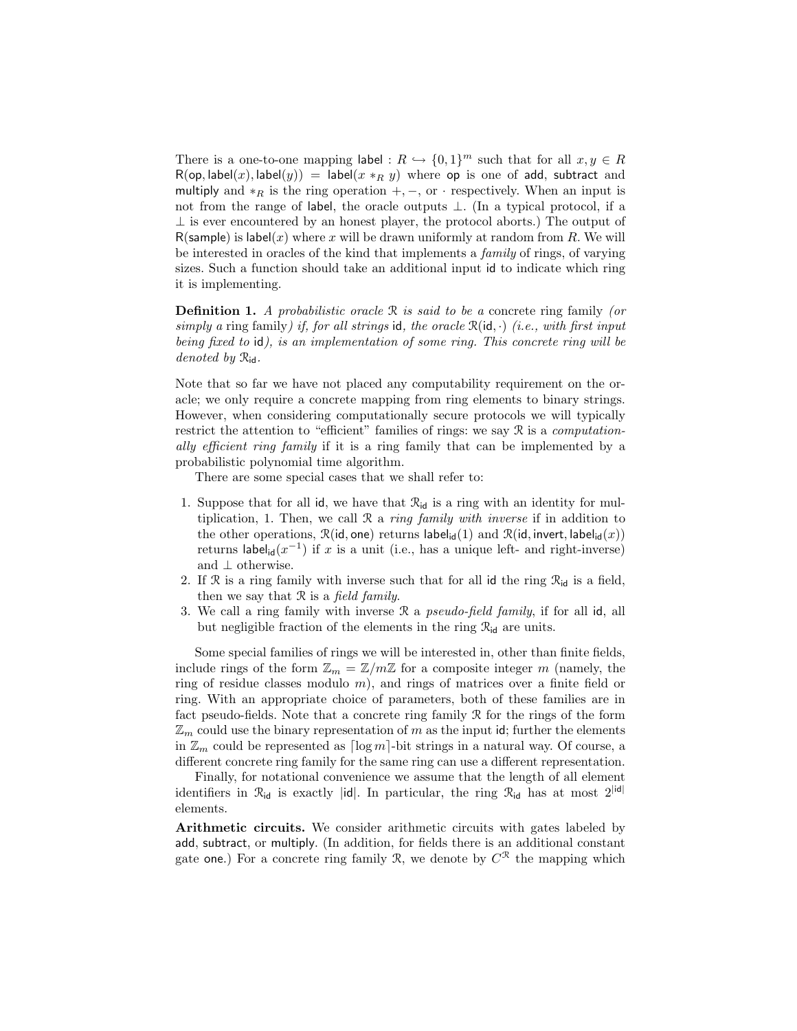There is a one-to-one mapping label :  $R \hookrightarrow \{0,1\}^m$  such that for all  $x, y \in R$  $R(op, label(x), label(y)) = label(x *_{R} y)$  where op is one of add, subtract and multiply and  $*_R$  is the ring operation  $+,-$ , or  $\cdot$  respectively. When an input is not from the range of label, the oracle outputs ⊥. (In a typical protocol, if a  $\perp$  is ever encountered by an honest player, the protocol aborts.) The output of  $R$ (sample) is label(x) where x will be drawn uniformly at random from R. We will be interested in oracles of the kind that implements a family of rings, of varying sizes. Such a function should take an additional input id to indicate which ring it is implementing.

**Definition 1.** A probabilistic oracle  $\mathcal{R}$  is said to be a concrete ring family (or simply a ring family) if, for all strings id, the oracle  $\mathcal{R}(\mathsf{id}, \cdot)$  (i.e., with first input being fixed to id), is an implementation of some ring. This concrete ring will be denoted by  $\mathcal{R}_{\mathsf{id}}$ .

Note that so far we have not placed any computability requirement on the oracle; we only require a concrete mapping from ring elements to binary strings. However, when considering computationally secure protocols we will typically restrict the attention to "efficient" families of rings: we say  $\mathcal{R}$  is a *computation*ally efficient ring family if it is a ring family that can be implemented by a probabilistic polynomial time algorithm.

There are some special cases that we shall refer to:

- 1. Suppose that for all id, we have that  $\mathcal{R}_{\mathsf{id}}$  is a ring with an identity for multiplication, 1. Then, we call  $\mathcal R$  a *ring family with inverse* if in addition to the other operations,  $\mathcal{R}(\mathsf{id}, \mathsf{one})$  returns label<sub>id</sub>(1) and  $\mathcal{R}(\mathsf{id}, \mathsf{invert}, \mathsf{label}_{\mathsf{id}}(x))$ returns  $\textsf{label}_{\mathsf{id}}(x^{-1})$  if x is a unit (i.e., has a unique left- and right-inverse) and  $\perp$  otherwise.
- 2. If  $\mathcal R$  is a ring family with inverse such that for all id the ring  $\mathcal R_{\mathsf{id}}$  is a field, then we say that  $\mathcal R$  is a *field family*.
- 3. We call a ring family with inverse  $\Re$  a *pseudo-field family*, if for all id, all but negligible fraction of the elements in the ring  $\mathcal{R}_{\mathsf{id}}$  are units.

Some special families of rings we will be interested in, other than finite fields, include rings of the form  $\mathbb{Z}_m = \mathbb{Z}/m\mathbb{Z}$  for a composite integer m (namely, the ring of residue classes modulo  $m$ , and rings of matrices over a finite field or ring. With an appropriate choice of parameters, both of these families are in fact pseudo-fields. Note that a concrete ring family R for the rings of the form  $\mathbb{Z}_m$  could use the binary representation of m as the input id; further the elements in  $\mathbb{Z}_m$  could be represented as  $\lceil \log m \rceil$ -bit strings in a natural way. Of course, a different concrete ring family for the same ring can use a different representation.

Finally, for notational convenience we assume that the length of all element identifiers in  $\mathcal{R}_{id}$  is exactly |id|. In particular, the ring  $\mathcal{R}_{id}$  has at most 2<sup>|id|</sup> elements.

Arithmetic circuits. We consider arithmetic circuits with gates labeled by add, subtract, or multiply. (In addition, for fields there is an additional constant gate one.) For a concrete ring family R, we denote by  $C^{\mathcal{R}}$  the mapping which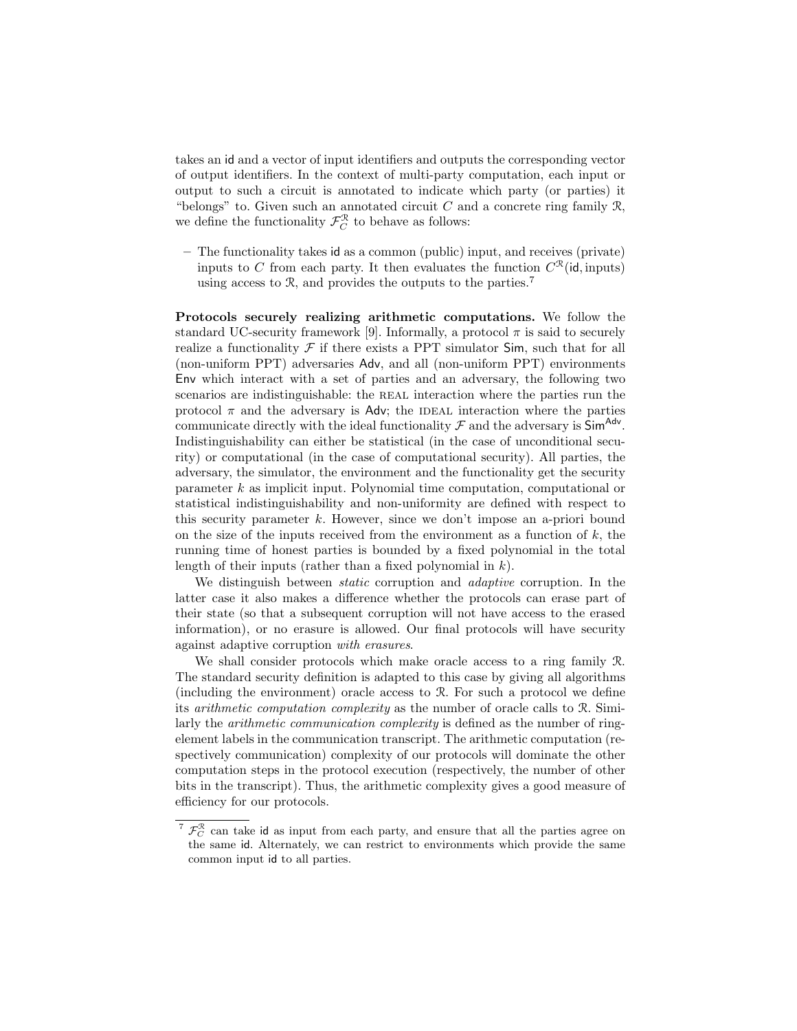takes an id and a vector of input identifiers and outputs the corresponding vector of output identifiers. In the context of multi-party computation, each input or output to such a circuit is annotated to indicate which party (or parties) it "belongs" to. Given such an annotated circuit  $C$  and a concrete ring family  $\mathcal{R}$ , we define the functionality  $\mathcal{F}_C^{\mathcal{R}}$  to behave as follows:

– The functionality takes id as a common (public) input, and receives (private) inputs to C from each party. It then evaluates the function  $C^{\mathcal{R}}(\mathsf{id}, \text{inputs})$ using access to  $\mathcal{R}$ , and provides the outputs to the parties.<sup>7</sup>

Protocols securely realizing arithmetic computations. We follow the standard UC-security framework [9]. Informally, a protocol  $\pi$  is said to securely realize a functionality  $\mathcal F$  if there exists a PPT simulator Sim, such that for all (non-uniform PPT) adversaries Adv, and all (non-uniform PPT) environments Env which interact with a set of parties and an adversary, the following two scenarios are indistinguishable: the REAL interaction where the parties run the protocol  $\pi$  and the adversary is Adv; the IDEAL interaction where the parties communicate directly with the ideal functionality  $\mathcal F$  and the adversary is  $\mathsf{Sim}^\mathsf{Adv}.$ Indistinguishability can either be statistical (in the case of unconditional security) or computational (in the case of computational security). All parties, the adversary, the simulator, the environment and the functionality get the security parameter k as implicit input. Polynomial time computation, computational or statistical indistinguishability and non-uniformity are defined with respect to this security parameter k. However, since we don't impose an a-priori bound on the size of the inputs received from the environment as a function of  $k$ , the running time of honest parties is bounded by a fixed polynomial in the total length of their inputs (rather than a fixed polynomial in  $k$ ).

We distinguish between static corruption and adaptive corruption. In the latter case it also makes a difference whether the protocols can erase part of their state (so that a subsequent corruption will not have access to the erased information), or no erasure is allowed. Our final protocols will have security against adaptive corruption with erasures.

We shall consider protocols which make oracle access to a ring family R. The standard security definition is adapted to this case by giving all algorithms (including the environment) oracle access to R. For such a protocol we define its arithmetic computation complexity as the number of oracle calls to R. Similarly the arithmetic communication complexity is defined as the number of ringelement labels in the communication transcript. The arithmetic computation (respectively communication) complexity of our protocols will dominate the other computation steps in the protocol execution (respectively, the number of other bits in the transcript). Thus, the arithmetic complexity gives a good measure of efficiency for our protocols.

<sup>&</sup>lt;sup>7</sup>  $\mathcal{F}_C^{\mathcal{R}}$  can take id as input from each party, and ensure that all the parties agree on the same id. Alternately, we can restrict to environments which provide the same common input id to all parties.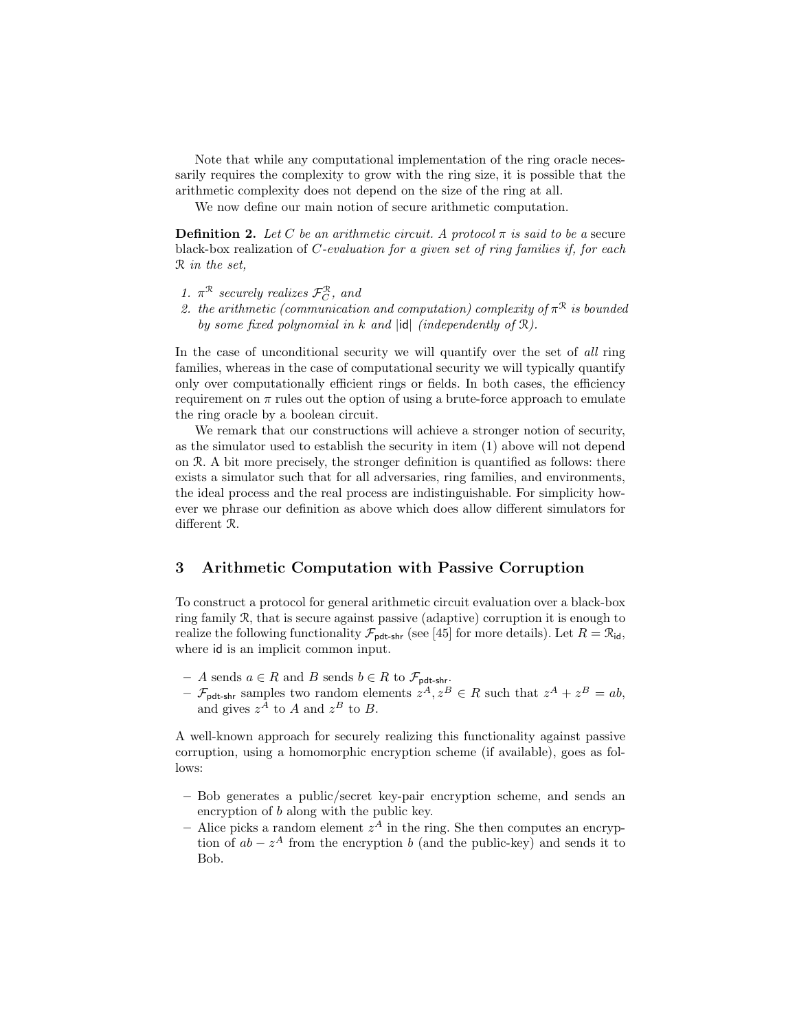Note that while any computational implementation of the ring oracle necessarily requires the complexity to grow with the ring size, it is possible that the arithmetic complexity does not depend on the size of the ring at all.

We now define our main notion of secure arithmetic computation.

**Definition 2.** Let C be an arithmetic circuit. A protocol  $\pi$  is said to be a secure black-box realization of C-evaluation for a given set of ring families if, for each R in the set,

- 1.  $\pi^{\mathcal{R}}$  securely realizes  $\mathcal{F}_C^{\mathcal{R}}$ , and
- 2. the arithmetic (communication and computation) complexity of  $\pi$ <sup>R</sup> is bounded by some fixed polynomial in  $k$  and  $\vert id \vert$  (independently of  $\mathcal{R}$ ).

In the case of unconditional security we will quantify over the set of all ring families, whereas in the case of computational security we will typically quantify only over computationally efficient rings or fields. In both cases, the efficiency requirement on  $\pi$  rules out the option of using a brute-force approach to emulate the ring oracle by a boolean circuit.

We remark that our constructions will achieve a stronger notion of security, as the simulator used to establish the security in item (1) above will not depend on R. A bit more precisely, the stronger definition is quantified as follows: there exists a simulator such that for all adversaries, ring families, and environments, the ideal process and the real process are indistinguishable. For simplicity however we phrase our definition as above which does allow different simulators for different R.

## 3 Arithmetic Computation with Passive Corruption

To construct a protocol for general arithmetic circuit evaluation over a black-box ring family R, that is secure against passive (adaptive) corruption it is enough to realize the following functionality  $\mathcal{F}_{\text{pdt-shr}}$  (see [45] for more details). Let  $R = \mathcal{R}_{\text{id}}$ , where id is an implicit common input.

- A sends  $a \in R$  and B sends  $b \in R$  to  $\mathcal{F}_{\text{pdt-shr}}$ .
- $\mathcal{F}_{\text{pdf-shr}}$  samples two random elements  $z^A, z^B \in R$  such that  $z^A + z^B = ab$ , and gives  $z^A$  to A and  $z^B$  to B.

A well-known approach for securely realizing this functionality against passive corruption, using a homomorphic encryption scheme (if available), goes as follows:

- Bob generates a public/secret key-pair encryption scheme, and sends an encryption of b along with the public key.
- Alice picks a random element  $z^A$  in the ring. She then computes an encryption of  $ab - z^A$  from the encryption b (and the public-key) and sends it to Bob.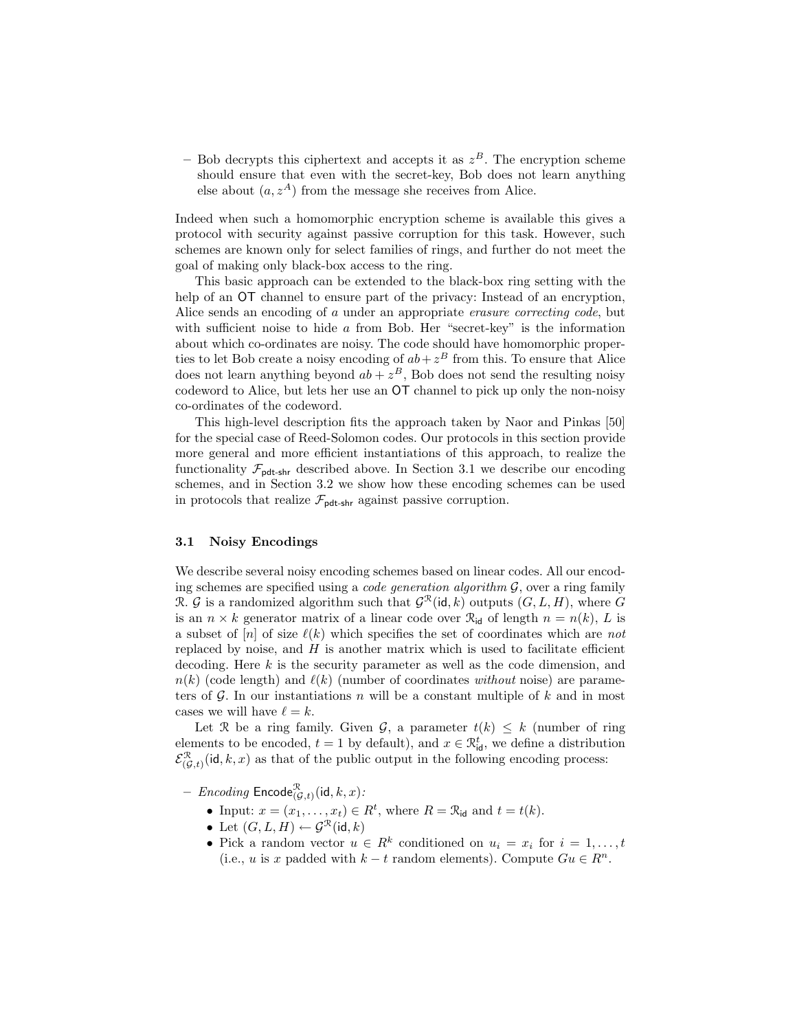- Bob decrypts this ciphertext and accepts it as  $z<sup>B</sup>$ . The encryption scheme should ensure that even with the secret-key, Bob does not learn anything else about  $(a, z<sup>A</sup>)$  from the message she receives from Alice.

Indeed when such a homomorphic encryption scheme is available this gives a protocol with security against passive corruption for this task. However, such schemes are known only for select families of rings, and further do not meet the goal of making only black-box access to the ring.

This basic approach can be extended to the black-box ring setting with the help of an OT channel to ensure part of the privacy: Instead of an encryption, Alice sends an encoding of a under an appropriate erasure correcting code, but with sufficient noise to hide  $\alpha$  from Bob. Her "secret-key" is the information about which co-ordinates are noisy. The code should have homomorphic properties to let Bob create a noisy encoding of  $ab + z^B$  from this. To ensure that Alice does not learn anything beyond  $ab + z^B$ , Bob does not send the resulting noisy codeword to Alice, but lets her use an OT channel to pick up only the non-noisy co-ordinates of the codeword.

This high-level description fits the approach taken by Naor and Pinkas [50] for the special case of Reed-Solomon codes. Our protocols in this section provide more general and more efficient instantiations of this approach, to realize the functionality  $\mathcal{F}_{\text{pdt-shr}}$  described above. In Section 3.1 we describe our encoding schemes, and in Section 3.2 we show how these encoding schemes can be used in protocols that realize  $\mathcal{F}_{\text{pdt-shr}}$  against passive corruption.

#### 3.1 Noisy Encodings

We describe several noisy encoding schemes based on linear codes. All our encoding schemes are specified using a *code generation algorithm*  $G$ , over a ring family R. G is a randomized algorithm such that  $\mathcal{G}^{\mathcal{R}}(\mathsf{id}, k)$  outputs  $(G, L, H)$ , where G is an  $n \times k$  generator matrix of a linear code over  $\mathcal{R}_{id}$  of length  $n = n(k)$ , L is a subset of  $[n]$  of size  $\ell(k)$  which specifies the set of coordinates which are not replaced by noise, and  $H$  is another matrix which is used to facilitate efficient decoding. Here  $k$  is the security parameter as well as the code dimension, and  $n(k)$  (code length) and  $\ell(k)$  (number of coordinates without noise) are parameters of  $\mathcal G$ . In our instantiations n will be a constant multiple of k and in most cases we will have  $\ell = k$ .

Let R be a ring family. Given G, a parameter  $t(k) \leq k$  (number of ring elements to be encoded,  $t = 1$  by default), and  $x \in \mathcal{R}^t_{\text{id}}$ , we define a distribution  $\mathcal{E}_{(\mathcal{G},t)}^{\mathcal{R}}(\mathsf{id},k,x)$  as that of the public output in the following encoding process:

 $\emph{Encoding  ${\sf Encode}^{\mathcal{R}}_{(\mathcal{G},t)}(\mathsf{id},k,x)$ :$ 

- Input:  $x = (x_1, \ldots, x_t) \in R^t$ , where  $R = \mathcal{R}_{\mathsf{id}}$  and  $t = t(k)$ .
- Let  $(G, L, H) \leftarrow \mathcal{G}^{\mathcal{R}}(\text{id}, k)$
- Pick a random vector  $u \in R^k$  conditioned on  $u_i = x_i$  for  $i = 1, ..., t$ (i.e., u is x padded with  $k - t$  random elements). Compute  $Gu \in \mathbb{R}^n$ .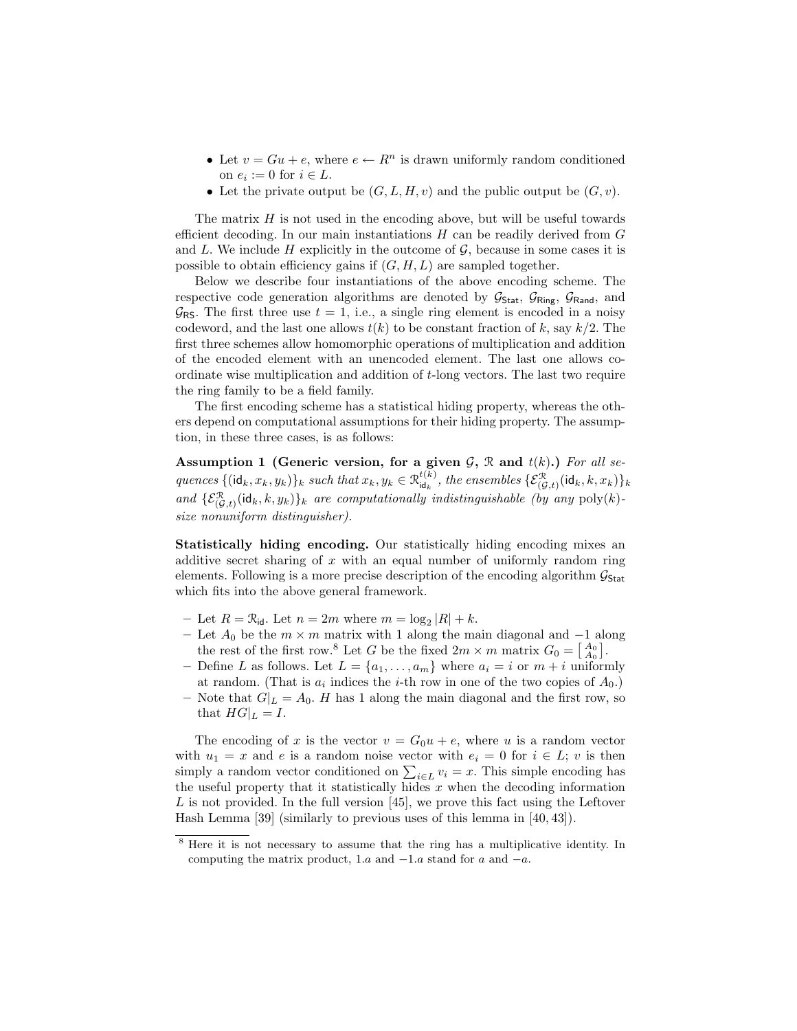- Let  $v = Gu + e$ , where  $e \leftarrow R^n$  is drawn uniformly random conditioned on  $e_i := 0$  for  $i \in L$ .
- Let the private output be  $(G, L, H, v)$  and the public output be  $(G, v)$ .

The matrix  $H$  is not used in the encoding above, but will be useful towards efficient decoding. In our main instantiations  $H$  can be readily derived from  $G$ and L. We include  $H$  explicitly in the outcome of  $\mathcal{G}$ , because in some cases it is possible to obtain efficiency gains if  $(G, H, L)$  are sampled together.

Below we describe four instantiations of the above encoding scheme. The respective code generation algorithms are denoted by  $\mathcal{G}_{Stat}$ ,  $\mathcal{G}_{Ring}$ ,  $\mathcal{G}_{Rand}$ , and  $\mathcal{G}_{RS}$ . The first three use  $t = 1$ , i.e., a single ring element is encoded in a noisy codeword, and the last one allows  $t(k)$  to be constant fraction of k, say  $k/2$ . The first three schemes allow homomorphic operations of multiplication and addition of the encoded element with an unencoded element. The last one allows coordinate wise multiplication and addition of t-long vectors. The last two require the ring family to be a field family.

The first encoding scheme has a statistical hiding property, whereas the others depend on computational assumptions for their hiding property. The assumption, in these three cases, is as follows:

Assumption 1 (Generic version, for a given  $G$ ,  $R$  and  $t(k)$ .) For all sequences  $\{(\mathsf{id}_k, x_k, y_k)\}_k$  such that  $x_k, y_k \in \mathcal{R}_{\mathsf{id}_k}^{t(k)}$  $\epsilon_{\mathsf{id}_k}^{t(k)},$  the ensembles  $\{\mathcal{E}^\mathcal{R}_{(\mathcal{G},t)}(\mathsf{id}_k,k,x_k)\}_k$ and  $\{\mathcal{E}_{(\mathcal{G},t)}^{\mathcal{R}}(\mathrm{id}_k,k,y_k)\}_k$  are computationally indistinguishable (by any poly(k)size nonuniform distinguisher).

Statistically hiding encoding. Our statistically hiding encoding mixes an additive secret sharing of  $x$  with an equal number of uniformly random ring elements. Following is a more precise description of the encoding algorithm  $\mathcal{G}_{\text{Stat}}$ which fits into the above general framework.

- Let  $R = \mathcal{R}_{\mathsf{id}}$ . Let  $n = 2m$  where  $m = \log_2 |R| + k$ .
- Let  $A_0$  be the  $m \times m$  matrix with 1 along the main diagonal and  $-1$  along the rest of the first row.<sup>8</sup> Let G be the fixed  $2m \times m$  matrix  $G_0 = \begin{bmatrix} A_0 \\ A_0 \end{bmatrix}$ .
- Define L as follows. Let  $L = \{a_1, \ldots, a_m\}$  where  $a_i = i$  or  $m + i$  uniformly at random. (That is  $a_i$  indices the *i*-th row in one of the two copies of  $A_0$ .)
- Note that  $G|_L = A_0$ . H has 1 along the main diagonal and the first row, so that  $HG|_L = I$ .

The encoding of x is the vector  $v = G_0 u + e$ , where u is a random vector with  $u_1 = x$  and e is a random noise vector with  $e_i = 0$  for  $i \in L$ ; v is then simply a random vector conditioned on  $\sum_{i \in L} v_i = x$ . This simple encoding has the useful property that it statistically hides  $x$  when the decoding information  $L$  is not provided. In the full version [45], we prove this fact using the Leftover Hash Lemma [39] (similarly to previous uses of this lemma in [40, 43]).

<sup>8</sup> Here it is not necessary to assume that the ring has a multiplicative identity. In computing the matrix product, 1.a and  $-1.a$  stand for a and  $-a$ .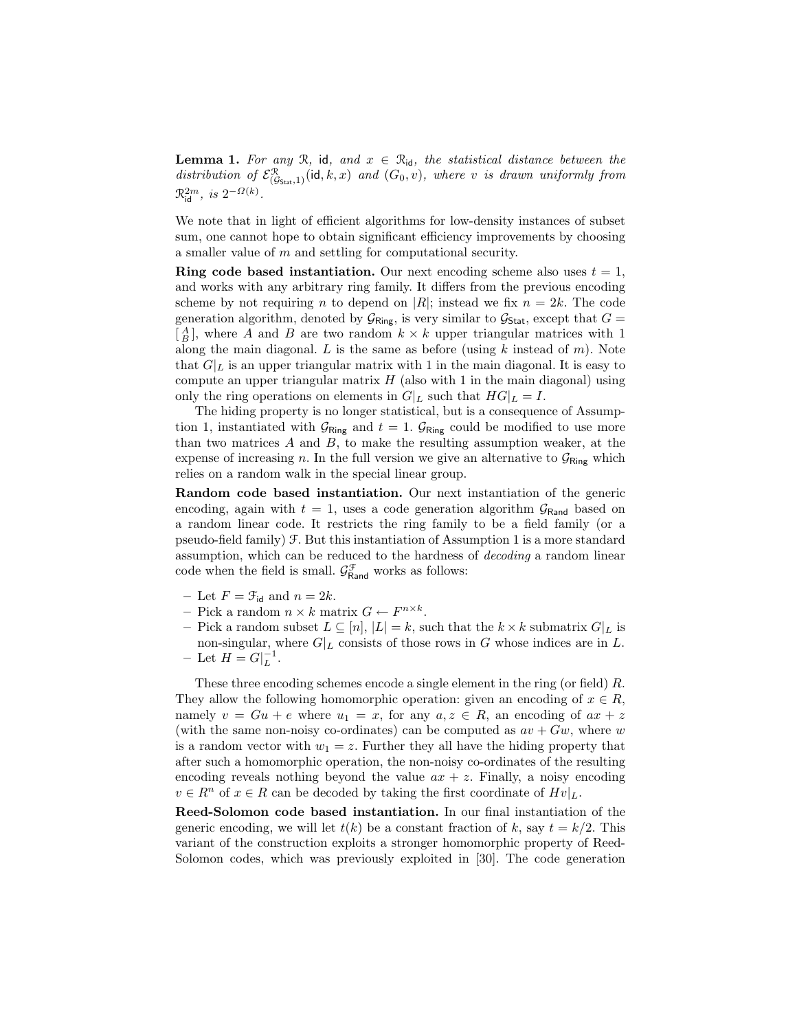**Lemma 1.** For any R, id, and  $x \in \mathbb{R}_{\text{id}}$ , the statistical distance between the distribution of  $\mathcal{E}_{(\mathcal{G}_{\text{Stat}},1)}^{\mathcal{R}}(\text{id},k,x)$  and  $(G_0,v)$ , where v is drawn uniformly from  $\mathcal{R}^{2m}_{\mathsf{id}}, \; \text{is} \; 2^{-\Omega(k)}.$ 

We note that in light of efficient algorithms for low-density instances of subset sum, one cannot hope to obtain significant efficiency improvements by choosing a smaller value of m and settling for computational security.

**Ring code based instantiation.** Our next encoding scheme also uses  $t = 1$ , and works with any arbitrary ring family. It differs from the previous encoding scheme by not requiring n to depend on |R|; instead we fix  $n = 2k$ . The code generation algorithm, denoted by  $\mathcal{G}_{\text{Ring}}$ , is very similar to  $\mathcal{G}_{\text{Stat}}$ , except that  $G =$  $\begin{bmatrix} A \\ B \end{bmatrix}$ , where A and B are two random  $k \times k$  upper triangular matrices with 1 along the main diagonal. L is the same as before (using  $k$  instead of  $m$ ). Note that  $G|_L$  is an upper triangular matrix with 1 in the main diagonal. It is easy to compute an upper triangular matrix  $H$  (also with 1 in the main diagonal) using only the ring operations on elements in  $G|_L$  such that  $HG|_L = I$ .

The hiding property is no longer statistical, but is a consequence of Assumption 1, instantiated with  $\mathcal{G}_{\text{Ring}}$  and  $t = 1$ .  $\mathcal{G}_{\text{Ring}}$  could be modified to use more than two matrices  $A$  and  $B$ , to make the resulting assumption weaker, at the expense of increasing n. In the full version we give an alternative to  $\mathcal{G}_{\text{Ring}}$  which relies on a random walk in the special linear group.

Random code based instantiation. Our next instantiation of the generic encoding, again with  $t = 1$ , uses a code generation algorithm  $\mathcal{G}_{\text{Rand}}$  based on a random linear code. It restricts the ring family to be a field family (or a pseudo-field family) F. But this instantiation of Assumption 1 is a more standard assumption, which can be reduced to the hardness of decoding a random linear code when the field is small.  $\mathcal{G}^{\mathcal{F}}_{\text{Rand}}$  works as follows:

- Let  $F = \mathcal{F}_{\text{id}}$  and  $n = 2k$ .
- Pick a random  $n \times k$  matrix  $G \leftarrow F^{n \times k}$ .
- Pick a random subset  $L \subseteq [n], |L| = k$ , such that the  $k \times k$  submatrix  $G|_L$  is non-singular, where  $G|_L$  consists of those rows in G whose indices are in L.
- $-$  Let  $H = G|_{L}^{-1}$ .

These three encoding schemes encode a single element in the ring (or field) R. They allow the following homomorphic operation: given an encoding of  $x \in R$ , namely  $v = Gu + e$  where  $u_1 = x$ , for any  $a, z \in R$ , an encoding of  $ax + z$ (with the same non-noisy co-ordinates) can be computed as  $av + Gw$ , where w is a random vector with  $w_1 = z$ . Further they all have the hiding property that after such a homomorphic operation, the non-noisy co-ordinates of the resulting encoding reveals nothing beyond the value  $ax + z$ . Finally, a noisy encoding  $v \in R^n$  of  $x \in R$  can be decoded by taking the first coordinate of  $Hv|_L$ .

Reed-Solomon code based instantiation. In our final instantiation of the generic encoding, we will let  $t(k)$  be a constant fraction of k, say  $t = k/2$ . This variant of the construction exploits a stronger homomorphic property of Reed-Solomon codes, which was previously exploited in [30]. The code generation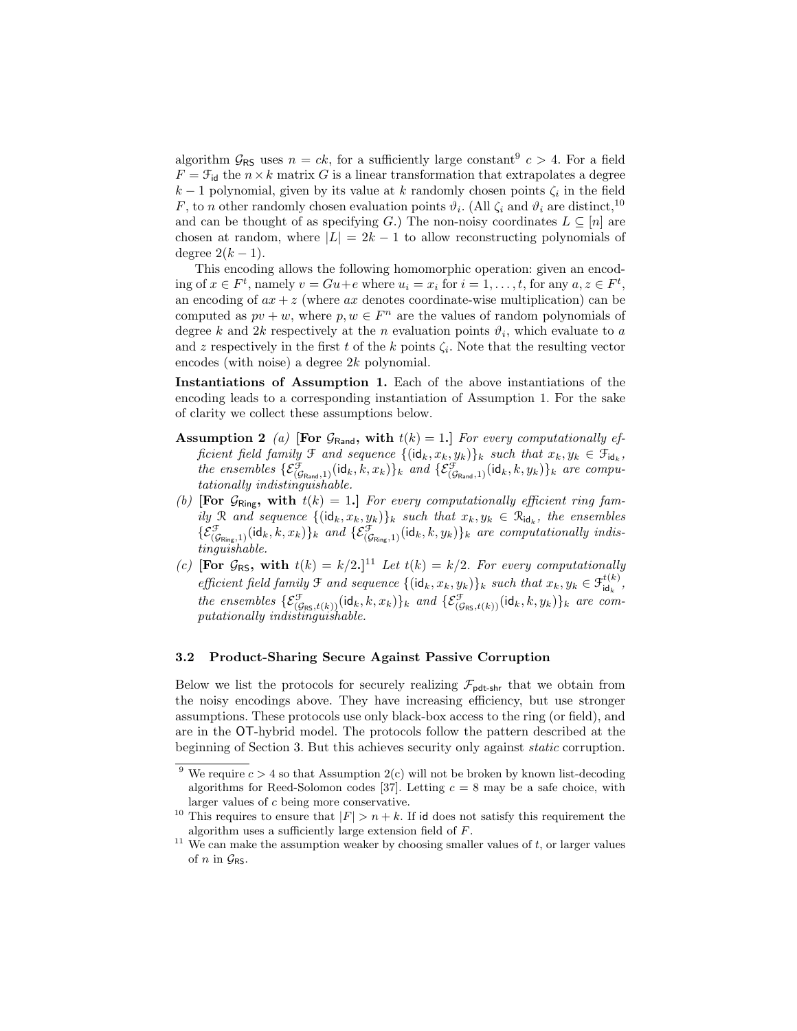algorithm  $\mathcal{G}_{RS}$  uses  $n = ck$ , for a sufficiently large constant<sup>9</sup>  $c > 4$ . For a field  $F = \mathcal{F}_{id}$  the  $n \times k$  matrix G is a linear transformation that extrapolates a degree  $k-1$  polynomial, given by its value at k randomly chosen points  $\zeta_i$  in the field F, to n other randomly chosen evaluation points  $\vartheta_i$ . (All  $\zeta_i$  and  $\vartheta_i$  are distinct,<sup>10</sup> and can be thought of as specifying G.) The non-noisy coordinates  $L \subseteq [n]$  are chosen at random, where  $|L| = 2k - 1$  to allow reconstructing polynomials of degree  $2(k-1)$ .

This encoding allows the following homomorphic operation: given an encoding of  $x \in F^t$ , namely  $v = Gu + e$  where  $u_i = x_i$  for  $i = 1, ..., t$ , for any  $a, z \in F^t$ , an encoding of  $ax + z$  (where  $ax$  denotes coordinate-wise multiplication) can be computed as  $pv + w$ , where  $p, w \in F<sup>n</sup>$  are the values of random polynomials of degree k and 2k respectively at the n evaluation points  $\vartheta_i$ , which evaluate to a and z respectively in the first t of the k points  $\zeta_i$ . Note that the resulting vector encodes (with noise) a degree 2k polynomial.

Instantiations of Assumption 1. Each of the above instantiations of the encoding leads to a corresponding instantiation of Assumption 1. For the sake of clarity we collect these assumptions below.

- **Assumption 2** (a) [For  $\mathcal{G}_{\text{Rand}}$ , with  $t(k) = 1$ .] For every computationally efficient field family  $\mathfrak F$  and sequence  $\{(\mathsf{id}_k, x_k, y_k)\}_k$  such that  $x_k, y_k \in \mathfrak F_{\mathsf{id}_k}$ , the ensembles  $\{\mathcal{E}^{\mathcal{F}}_{(\mathcal{G}_{\text{Rand}},1)}(\mathrm{id}_k,k,x_k)\}_k$  and  $\{\mathcal{E}^{\mathcal{F}}_{(\mathcal{G}_{\text{Rand}},1)}(\mathrm{id}_k,k,y_k)\}_k$  are computationally indistinguishable.
- (b) **[For**  $\mathcal{G}_{\text{Ring}}$ **, with**  $t(k) = 1$ .] For every computationally efficient ring family R and sequence  $\{(\mathsf{id}_k, x_k, y_k)\}_k$  such that  $x_k, y_k \in \mathcal{R}_{\mathsf{id}_k}$ , the ensembles  $\{\mathcal{E}^{\mathcal{F}}_{(\mathcal{G}_{\text{Ring}},1)}(\mathsf{id}_k, k, x_k)\}_k$  and  $\{\mathcal{E}^{\mathcal{F}}_{(\mathcal{G}_{\text{Ring}},1)}(\mathsf{id}_k, k, y_k)\}_k$  are computationally indistinguishable.
- (c) [For  $\mathcal{G}_{\text{RS}}$ , with  $t(k) = k/2$ .]<sup>11</sup> Let  $t(k) = k/2$ . For every computationally efficient field family  $\mathcal F$  and sequence  $\{(\mathrm{id}_k, x_k, y_k)\}_k$  such that  $x_k, y_k \in \mathfrak{F}_{\mathrm{id}_k}^{t(k)}$  $\frac{\iota(\kappa)}{\mathsf{id}_k}$ , the ensembles  $\{\mathcal{E}^{\mathcal{F}}_{(\mathcal{G}_{\text{RS}},t(k))}(\mathsf{id}_k,k,x_k)\}_k$  and  $\{\mathcal{E}^{\mathcal{F}}_{(\mathcal{G}_{\text{RS}},t(k))}(\mathsf{id}_k,k,y_k)\}_k$  are computationally indistinguishable.

## 3.2 Product-Sharing Secure Against Passive Corruption

Below we list the protocols for securely realizing  $\mathcal{F}_{\text{pdt-shr}}$  that we obtain from the noisy encodings above. They have increasing efficiency, but use stronger assumptions. These protocols use only black-box access to the ring (or field), and are in the OT-hybrid model. The protocols follow the pattern described at the beginning of Section 3. But this achieves security only against static corruption.

<sup>&</sup>lt;sup>9</sup> We require  $c > 4$  so that Assumption 2(c) will not be broken by known list-decoding algorithms for Reed-Solomon codes [37]. Letting  $c = 8$  may be a safe choice, with larger values of c being more conservative.

<sup>&</sup>lt;sup>10</sup> This requires to ensure that  $|F| > n + k$ . If id does not satisfy this requirement the algorithm uses a sufficiently large extension field of  $F$ .

 $11$  We can make the assumption weaker by choosing smaller values of t, or larger values of *n* in  $\mathcal{G}_{RS}$ .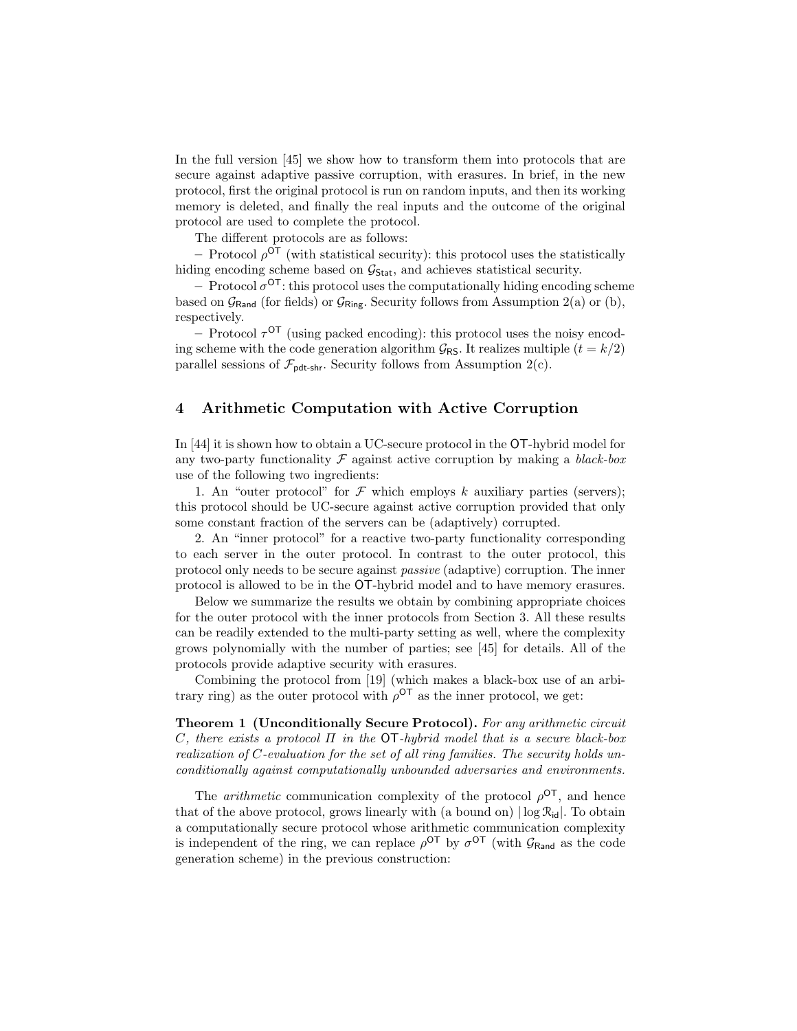In the full version [45] we show how to transform them into protocols that are secure against adaptive passive corruption, with erasures. In brief, in the new protocol, first the original protocol is run on random inputs, and then its working memory is deleted, and finally the real inputs and the outcome of the original protocol are used to complete the protocol.

The different protocols are as follows:

– Protocol  $\rho^{OT}$  (with statistical security): this protocol uses the statistically hiding encoding scheme based on  $\mathcal{G}_{\mathsf{Stat}}$ , and achieves statistical security.

 $-$  Protocol  $\sigma^{OT}$ : this protocol uses the computationally hiding encoding scheme based on  $\mathcal{G}_{\text{Rand}}$  (for fields) or  $\mathcal{G}_{\text{Ring}}$ . Security follows from Assumption 2(a) or (b), respectively.

- Protocol  $\tau^{OT}$  (using packed encoding): this protocol uses the noisy encoding scheme with the code generation algorithm  $\mathcal{G}_{RS}$ . It realizes multiple  $(t = k/2)$ parallel sessions of  $\mathcal{F}_{\text{pdt-shr}}$ . Security follows from Assumption 2(c).

## 4 Arithmetic Computation with Active Corruption

In [44] it is shown how to obtain a UC-secure protocol in the OT-hybrid model for any two-party functionality  $\mathcal F$  against active corruption by making a black-box use of the following two ingredients:

1. An "outer protocol" for  $\mathcal F$  which employs k auxiliary parties (servers); this protocol should be UC-secure against active corruption provided that only some constant fraction of the servers can be (adaptively) corrupted.

2. An "inner protocol" for a reactive two-party functionality corresponding to each server in the outer protocol. In contrast to the outer protocol, this protocol only needs to be secure against passive (adaptive) corruption. The inner protocol is allowed to be in the OT-hybrid model and to have memory erasures.

Below we summarize the results we obtain by combining appropriate choices for the outer protocol with the inner protocols from Section 3. All these results can be readily extended to the multi-party setting as well, where the complexity grows polynomially with the number of parties; see [45] for details. All of the protocols provide adaptive security with erasures.

Combining the protocol from [19] (which makes a black-box use of an arbitrary ring) as the outer protocol with  $\rho^{OT}$  as the inner protocol, we get:

Theorem 1 (Unconditionally Secure Protocol). For any arithmetic circuit C, there exists a protocol  $\Pi$  in the  $\sigma$ T-hybrid model that is a secure black-box realization of C-evaluation for the set of all ring families. The security holds unconditionally against computationally unbounded adversaries and environments.

The *arithmetic* communication complexity of the protocol  $\rho^{OT}$ , and hence that of the above protocol, grows linearly with (a bound on)  $|\log \mathcal{R}_{\mathsf{id}}|$ . To obtain a computationally secure protocol whose arithmetic communication complexity is independent of the ring, we can replace  $\rho^{OT}$  by  $\sigma^{OT}$  (with  $\mathcal{G}_{\text{Rand}}$  as the code generation scheme) in the previous construction: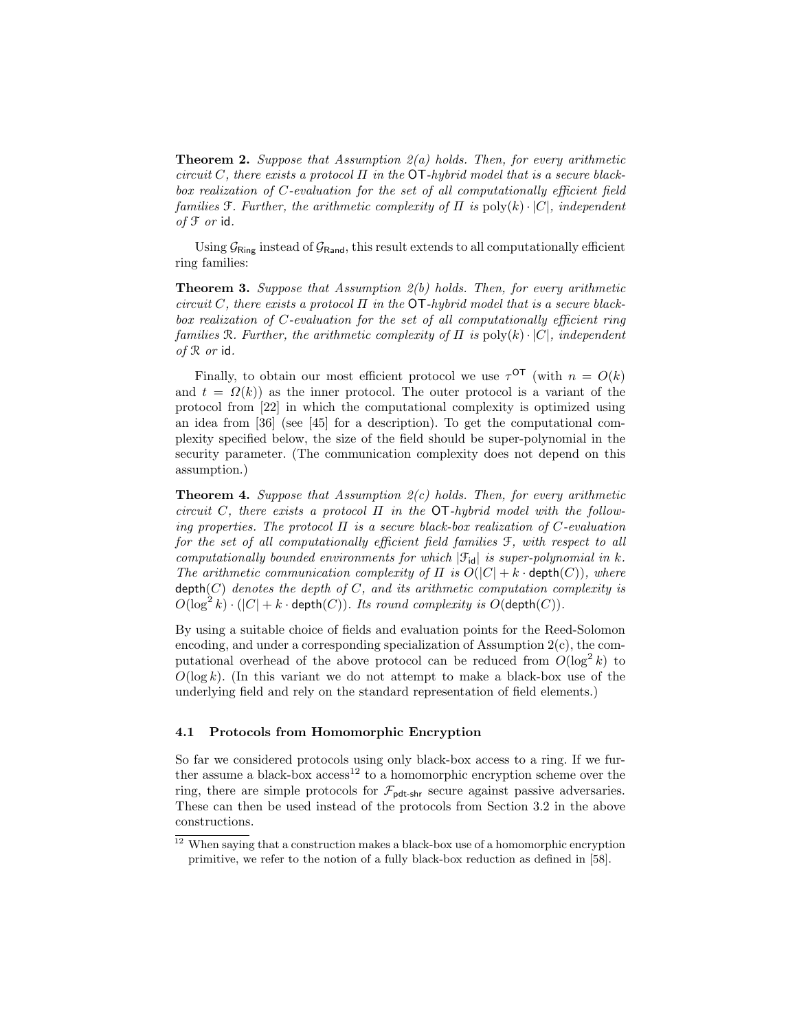**Theorem 2.** Suppose that Assumption  $2(a)$  holds. Then, for every arithmetic circuit C, there exists a protocol  $\Pi$  in the  $\sigma$ T-hybrid model that is a secure blackbox realization of C-evaluation for the set of all computationally efficient field families F. Further, the arithmetic complexity of  $\Pi$  is  $\text{poly}(k) \cdot |C|$ , independent of  $\mathcal F$  or id.

Using  $\mathcal{G}_{\text{Ring}}$  instead of  $\mathcal{G}_{\text{Rand}}$ , this result extends to all computationally efficient ring families:

**Theorem 3.** Suppose that Assumption  $2(b)$  holds. Then, for every arithmetic circuit C, there exists a protocol  $\Pi$  in the  $\sigma$ T-hybrid model that is a secure blackbox realization of C-evaluation for the set of all computationally efficient ring families R. Further, the arithmetic complexity of  $\Pi$  is  $\text{poly}(k) \cdot |C|$ , independent of  $\Re$  or id.

Finally, to obtain our most efficient protocol we use  $\tau^{OT}$  (with  $n = O(k)$ ) and  $t = \Omega(k)$  as the inner protocol. The outer protocol is a variant of the protocol from [22] in which the computational complexity is optimized using an idea from [36] (see [45] for a description). To get the computational complexity specified below, the size of the field should be super-polynomial in the security parameter. (The communication complexity does not depend on this assumption.)

**Theorem 4.** Suppose that Assumption  $2(c)$  holds. Then, for every arithmetic circuit C, there exists a protocol  $\Pi$  in the  $\sigma$ T-hybrid model with the following properties. The protocol  $\Pi$  is a secure black-box realization of C-evaluation for the set of all computationally efficient field families F, with respect to all computationally bounded environments for which  $|\mathcal{F}_{id}|$  is super-polynomial in k. The arithmetic communication complexity of  $\Pi$  is  $O(|C| + k \cdot \text{depth}(C))$ , where  $\text{depth}(C)$  denotes the depth of C, and its arithmetic computation complexity is  $O(\log^2 k) \cdot (|C| + k \cdot \operatorname{depth}(C))$ . Its round complexity is  $O(\operatorname{depth}(C))$ .

By using a suitable choice of fields and evaluation points for the Reed-Solomon encoding, and under a corresponding specialization of Assumption 2(c), the computational overhead of the above protocol can be reduced from  $O(\log^2 k)$  to  $O(\log k)$ . (In this variant we do not attempt to make a black-box use of the underlying field and rely on the standard representation of field elements.)

#### 4.1 Protocols from Homomorphic Encryption

So far we considered protocols using only black-box access to a ring. If we further assume a black-box  $\arccos^{12}$  to a homomorphic encryption scheme over the ring, there are simple protocols for  $\mathcal{F}_{\text{pdt-shr}}$  secure against passive adversaries. These can then be used instead of the protocols from Section 3.2 in the above constructions.

 $12$  When saying that a construction makes a black-box use of a homomorphic encryption primitive, we refer to the notion of a fully black-box reduction as defined in [58].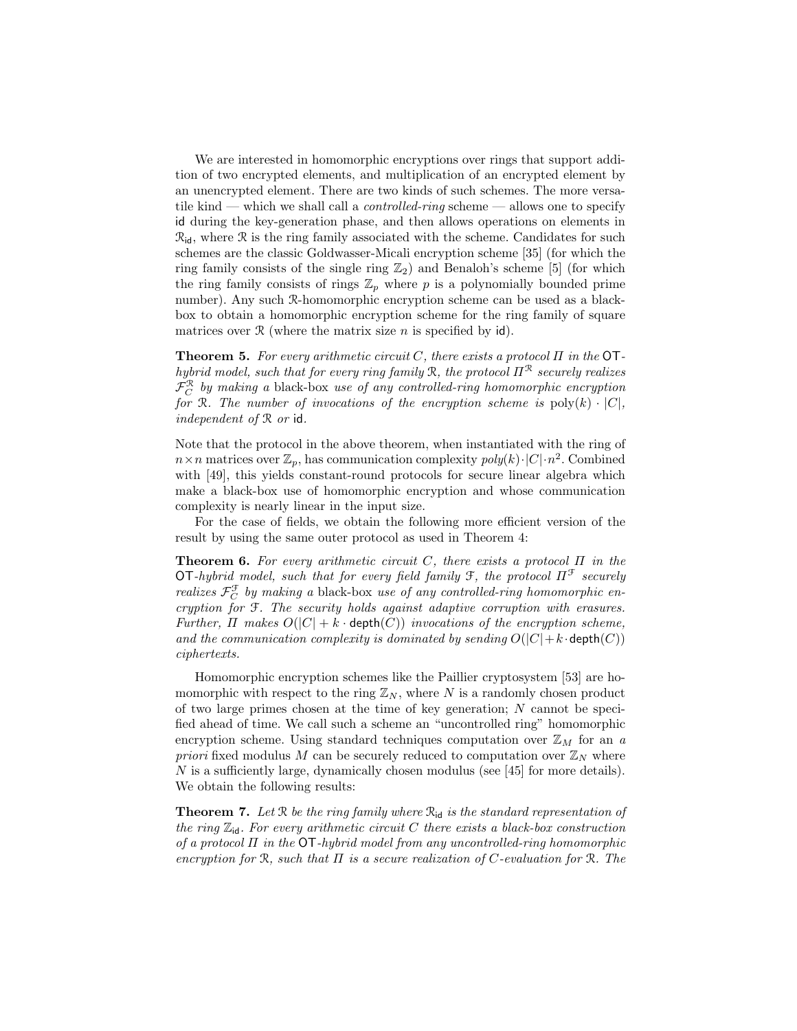We are interested in homomorphic encryptions over rings that support addition of two encrypted elements, and multiplication of an encrypted element by an unencrypted element. There are two kinds of such schemes. The more versatile kind — which we shall call a *controlled-ring* scheme — allows one to specify id during the key-generation phase, and then allows operations on elements in  $\mathcal{R}_{\text{id}}$ , where  $\mathcal{R}$  is the ring family associated with the scheme. Candidates for such schemes are the classic Goldwasser-Micali encryption scheme [35] (for which the ring family consists of the single ring  $\mathbb{Z}_2$ ) and Benaloh's scheme [5] (for which the ring family consists of rings  $\mathbb{Z}_p$  where p is a polynomially bounded prime number). Any such R-homomorphic encryption scheme can be used as a blackbox to obtain a homomorphic encryption scheme for the ring family of square matrices over  $\Re$  (where the matrix size *n* is specified by id).

**Theorem 5.** For every arithmetic circuit C, there exists a protocol  $\Pi$  in the OThybrid model, such that for every ring family  $\mathcal{R}$ , the protocol  $\Pi^{\mathcal{R}}$  securely realizes  $\mathcal{F}_C^{\mathcal{R}}$  by making a black-box use of any controlled-ring homomorphic encryption for R. The number of invocations of the encryption scheme is  $poly(k) \cdot |C|$ , independent of R or id.

Note that the protocol in the above theorem, when instantiated with the ring of  $n \times n$  matrices over  $\mathbb{Z}_p$ , has communication complexity  $poly(k) \cdot |C| \cdot n^2$ . Combined with [49], this yields constant-round protocols for secure linear algebra which make a black-box use of homomorphic encryption and whose communication complexity is nearly linear in the input size.

For the case of fields, we obtain the following more efficient version of the result by using the same outer protocol as used in Theorem 4:

**Theorem 6.** For every arithmetic circuit C, there exists a protocol  $\Pi$  in the OT-hybrid model, such that for every field family  $\mathfrak F$ , the protocol  $\Pi^{\mathfrak F}$  securely realizes  $\mathcal{F}_C^{\mathcal{F}}$  by making a black-box use of any controlled-ring homomorphic encryption for F. The security holds against adaptive corruption with erasures. Further,  $\Pi$  makes  $O(|C| + k \cdot \text{depth}(C))$  invocations of the encryption scheme, and the communication complexity is dominated by sending  $O(|C|+k \cdot \text{depth}(C))$ ciphertexts.

Homomorphic encryption schemes like the Paillier cryptosystem [53] are homomorphic with respect to the ring  $\mathbb{Z}_N$ , where N is a randomly chosen product of two large primes chosen at the time of key generation;  $N$  cannot be specified ahead of time. We call such a scheme an "uncontrolled ring" homomorphic encryption scheme. Using standard techniques computation over  $\mathbb{Z}_M$  for an a *priori* fixed modulus M can be securely reduced to computation over  $\mathbb{Z}_N$  where N is a sufficiently large, dynamically chosen modulus (see [45] for more details). We obtain the following results:

**Theorem 7.** Let  $\Re$  be the ring family where  $\Re_{id}$  is the standard representation of the ring  $\mathbb{Z}_{\mathsf{id}}$ . For every arithmetic circuit C there exists a black-box construction of a protocol  $\Pi$  in the  $\overline{OT}$ -hybrid model from any uncontrolled-ring homomorphic encryption for R, such that  $\Pi$  is a secure realization of C-evaluation for R. The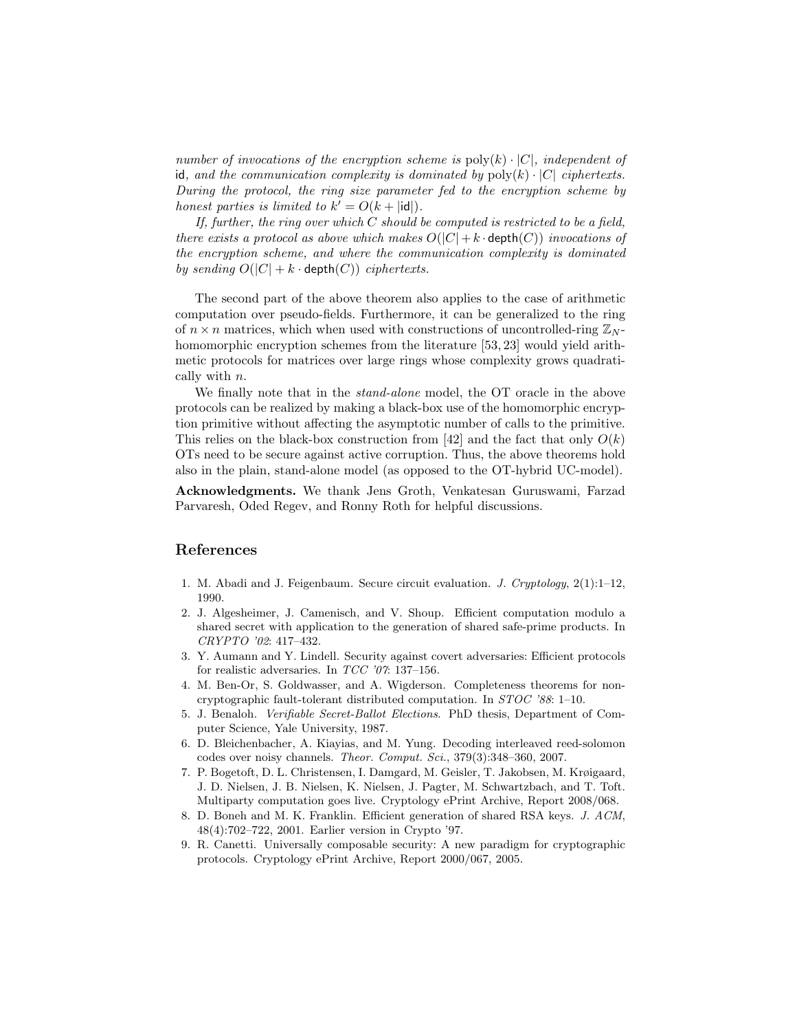number of invocations of the encryption scheme is  $\text{poly}(k) \cdot |C|$ , independent of id, and the communication complexity is dominated by  $\text{poly}(k) \cdot |C|$  ciphertexts. During the protocol, the ring size parameter fed to the encryption scheme by honest parties is limited to  $k' = O(k + |\mathsf{id}|)$ .

If, further, the ring over which  $C$  should be computed is restricted to be a field, there exists a protocol as above which makes  $O(|C|+k \cdot \text{depth}(C))$  invocations of the encryption scheme, and where the communication complexity is dominated by sending  $O(|C| + k \cdot \operatorname{depth}(C))$  ciphertexts.

The second part of the above theorem also applies to the case of arithmetic computation over pseudo-fields. Furthermore, it can be generalized to the ring of  $n \times n$  matrices, which when used with constructions of uncontrolled-ring  $\mathbb{Z}_{N}$ homomorphic encryption schemes from the literature [53, 23] would yield arithmetic protocols for matrices over large rings whose complexity grows quadratically with n.

We finally note that in the *stand-alone* model, the OT oracle in the above protocols can be realized by making a black-box use of the homomorphic encryption primitive without affecting the asymptotic number of calls to the primitive. This relies on the black-box construction from [42] and the fact that only  $O(k)$ OTs need to be secure against active corruption. Thus, the above theorems hold also in the plain, stand-alone model (as opposed to the OT-hybrid UC-model).

Acknowledgments. We thank Jens Groth, Venkatesan Guruswami, Farzad Parvaresh, Oded Regev, and Ronny Roth for helpful discussions.

## References

- 1. M. Abadi and J. Feigenbaum. Secure circuit evaluation. J. Cryptology, 2(1):1–12, 1990.
- 2. J. Algesheimer, J. Camenisch, and V. Shoup. Efficient computation modulo a shared secret with application to the generation of shared safe-prime products. In CRYPTO '02: 417–432.
- 3. Y. Aumann and Y. Lindell. Security against covert adversaries: Efficient protocols for realistic adversaries. In TCC '07: 137–156.
- 4. M. Ben-Or, S. Goldwasser, and A. Wigderson. Completeness theorems for noncryptographic fault-tolerant distributed computation. In STOC '88: 1–10.
- 5. J. Benaloh. Verifiable Secret-Ballot Elections. PhD thesis, Department of Computer Science, Yale University, 1987.
- 6. D. Bleichenbacher, A. Kiayias, and M. Yung. Decoding interleaved reed-solomon codes over noisy channels. Theor. Comput. Sci., 379(3):348–360, 2007.
- 7. P. Bogetoft, D. L. Christensen, I. Damgard, M. Geisler, T. Jakobsen, M. Krøigaard, J. D. Nielsen, J. B. Nielsen, K. Nielsen, J. Pagter, M. Schwartzbach, and T. Toft. Multiparty computation goes live. Cryptology ePrint Archive, Report 2008/068.
- 8. D. Boneh and M. K. Franklin. Efficient generation of shared RSA keys. J. ACM, 48(4):702–722, 2001. Earlier version in Crypto '97.
- 9. R. Canetti. Universally composable security: A new paradigm for cryptographic protocols. Cryptology ePrint Archive, Report 2000/067, 2005.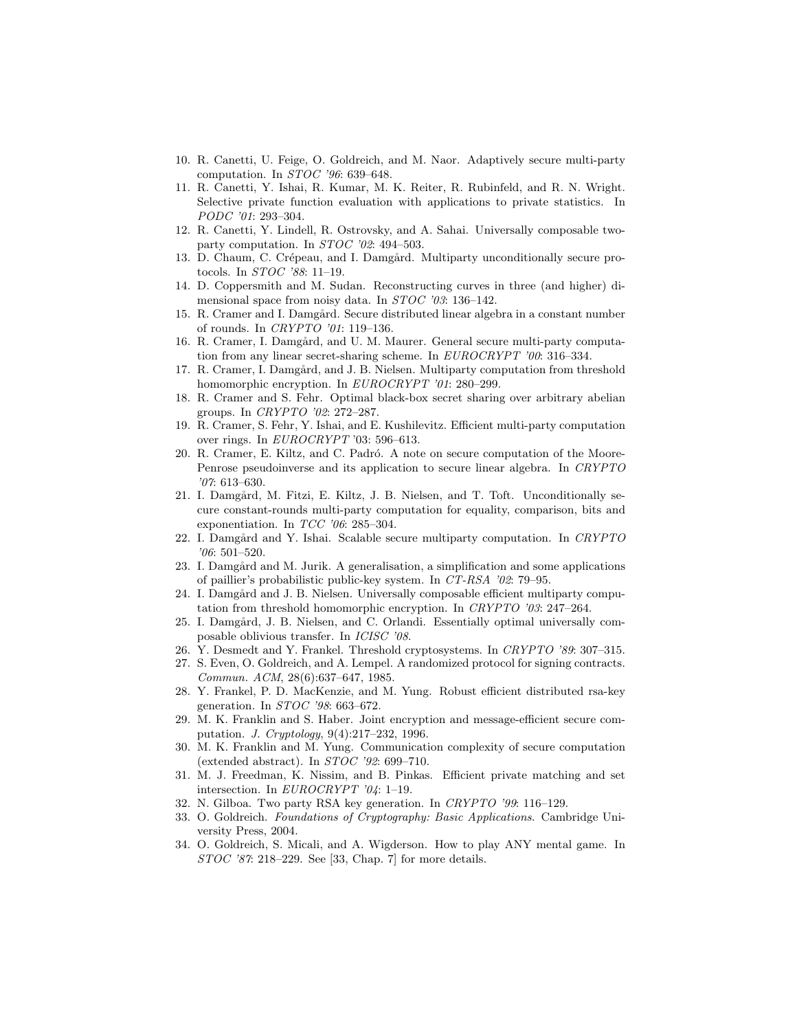- 10. R. Canetti, U. Feige, O. Goldreich, and M. Naor. Adaptively secure multi-party computation. In STOC '96: 639–648.
- 11. R. Canetti, Y. Ishai, R. Kumar, M. K. Reiter, R. Rubinfeld, and R. N. Wright. Selective private function evaluation with applications to private statistics. In PODC '01: 293–304.
- 12. R. Canetti, Y. Lindell, R. Ostrovsky, and A. Sahai. Universally composable twoparty computation. In STOC '02: 494–503.
- 13. D. Chaum, C. Crépeau, and I. Damgård. Multiparty unconditionally secure protocols. In STOC '88: 11–19.
- 14. D. Coppersmith and M. Sudan. Reconstructing curves in three (and higher) dimensional space from noisy data. In STOC '03: 136–142.
- 15. R. Cramer and I. Damgård. Secure distributed linear algebra in a constant number of rounds. In CRYPTO '01: 119–136.
- 16. R. Cramer, I. Damgård, and U. M. Maurer. General secure multi-party computation from any linear secret-sharing scheme. In EUROCRYPT '00: 316–334.
- 17. R. Cramer, I. Damgård, and J. B. Nielsen. Multiparty computation from threshold homomorphic encryption. In EUROCRYPT '01: 280-299.
- 18. R. Cramer and S. Fehr. Optimal black-box secret sharing over arbitrary abelian groups. In CRYPTO '02: 272–287.
- 19. R. Cramer, S. Fehr, Y. Ishai, and E. Kushilevitz. Efficient multi-party computation over rings. In EUROCRYPT '03: 596–613.
- 20. R. Cramer, E. Kiltz, and C. Padró. A note on secure computation of the Moore-Penrose pseudoinverse and its application to secure linear algebra. In CRYPTO '07: 613–630.
- 21. I. Damgård, M. Fitzi, E. Kiltz, J. B. Nielsen, and T. Toft. Unconditionally secure constant-rounds multi-party computation for equality, comparison, bits and exponentiation. In TCC '06: 285–304.
- 22. I. Damgård and Y. Ishai. Scalable secure multiparty computation. In CRYPTO '06: 501–520.
- 23. I. Damgård and M. Jurik. A generalisation, a simplification and some applications of paillier's probabilistic public-key system. In CT-RSA '02: 79–95.
- 24. I. Damgård and J. B. Nielsen. Universally composable efficient multiparty computation from threshold homomorphic encryption. In CRYPTO '03: 247–264.
- 25. I. Damgård, J. B. Nielsen, and C. Orlandi. Essentially optimal universally composable oblivious transfer. In ICISC '08.
- 26. Y. Desmedt and Y. Frankel. Threshold cryptosystems. In CRYPTO '89: 307–315.
- 27. S. Even, O. Goldreich, and A. Lempel. A randomized protocol for signing contracts. Commun. ACM, 28(6):637–647, 1985.
- 28. Y. Frankel, P. D. MacKenzie, and M. Yung. Robust efficient distributed rsa-key generation. In STOC '98: 663–672.
- 29. M. K. Franklin and S. Haber. Joint encryption and message-efficient secure computation. J. Cryptology, 9(4):217–232, 1996.
- 30. M. K. Franklin and M. Yung. Communication complexity of secure computation (extended abstract). In  $STOC$  '92: 699-710.
- 31. M. J. Freedman, K. Nissim, and B. Pinkas. Efficient private matching and set intersection. In  $EUROCRYPT'04: 1-19$ .
- 32. N. Gilboa. Two party RSA key generation. In CRYPTO '99: 116–129.
- 33. O. Goldreich. Foundations of Cryptography: Basic Applications. Cambridge University Press, 2004.
- 34. O. Goldreich, S. Micali, and A. Wigderson. How to play ANY mental game. In STOC '87: 218–229. See [33, Chap. 7] for more details.